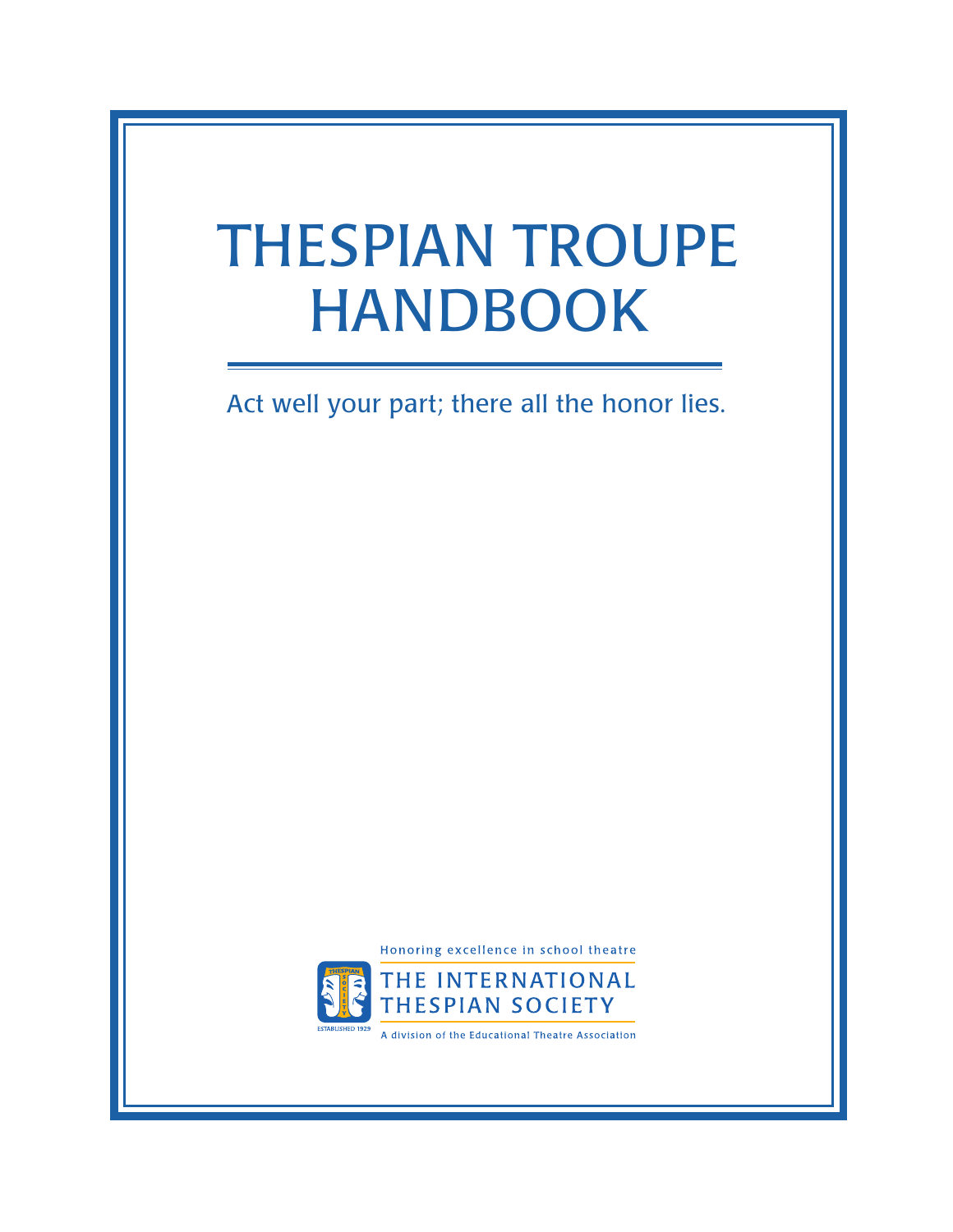# <span id="page-0-0"></span>THESPIAN TROUPE HANDBOOK

Act well your part; there all the honor lies.

Honoring excellence in school theatre



A division of the Educational Theatre Association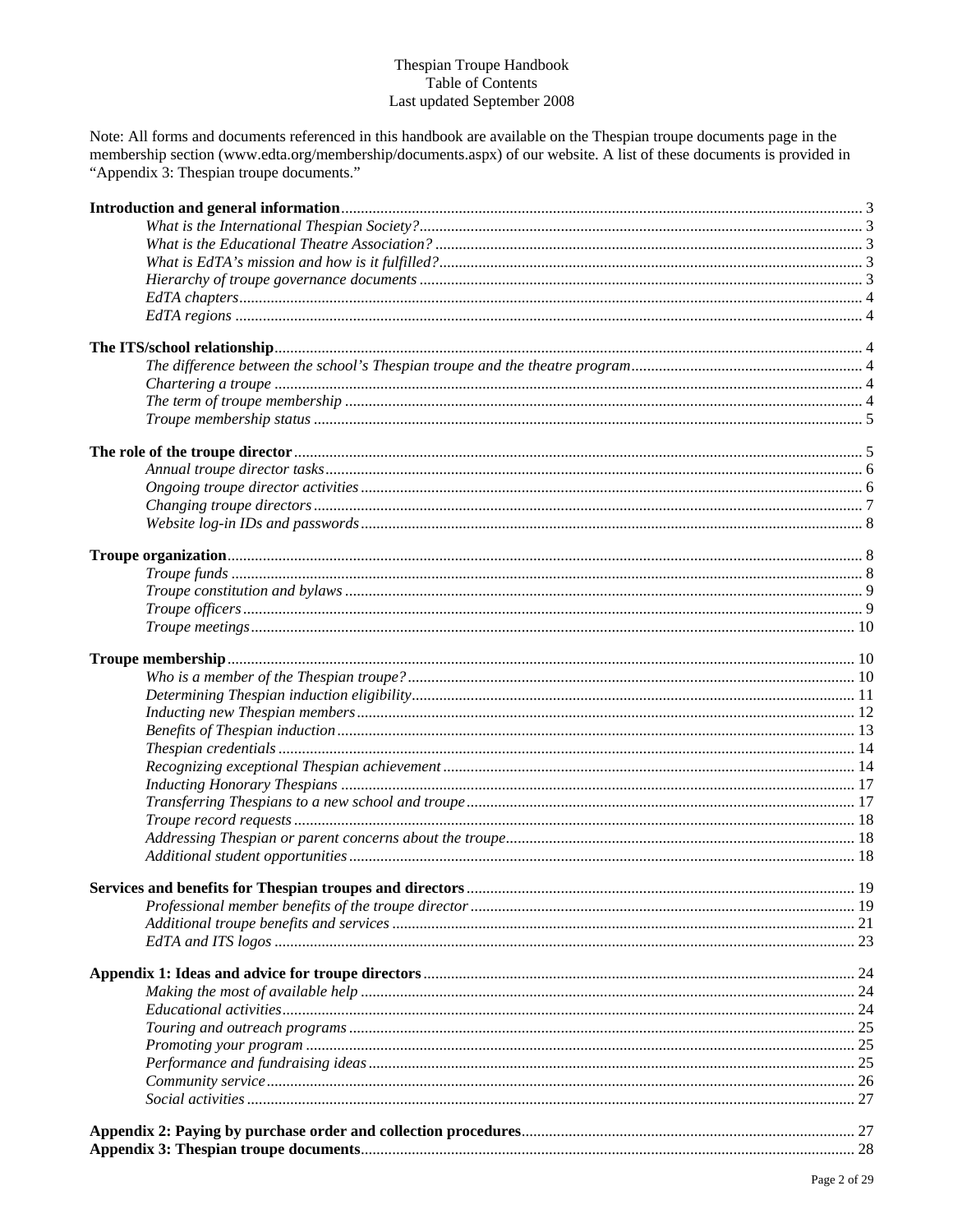#### Thespian Troupe Handbook Table of Contents Last updated September 2008

Note: All forms and documents referenced in this handbook are available on the Thespian troupe documents page in the membership section (www.edta.org/membership/documents.aspx) of our website. A list of these documents is provided in "Appendix 3: The spian troupe documents."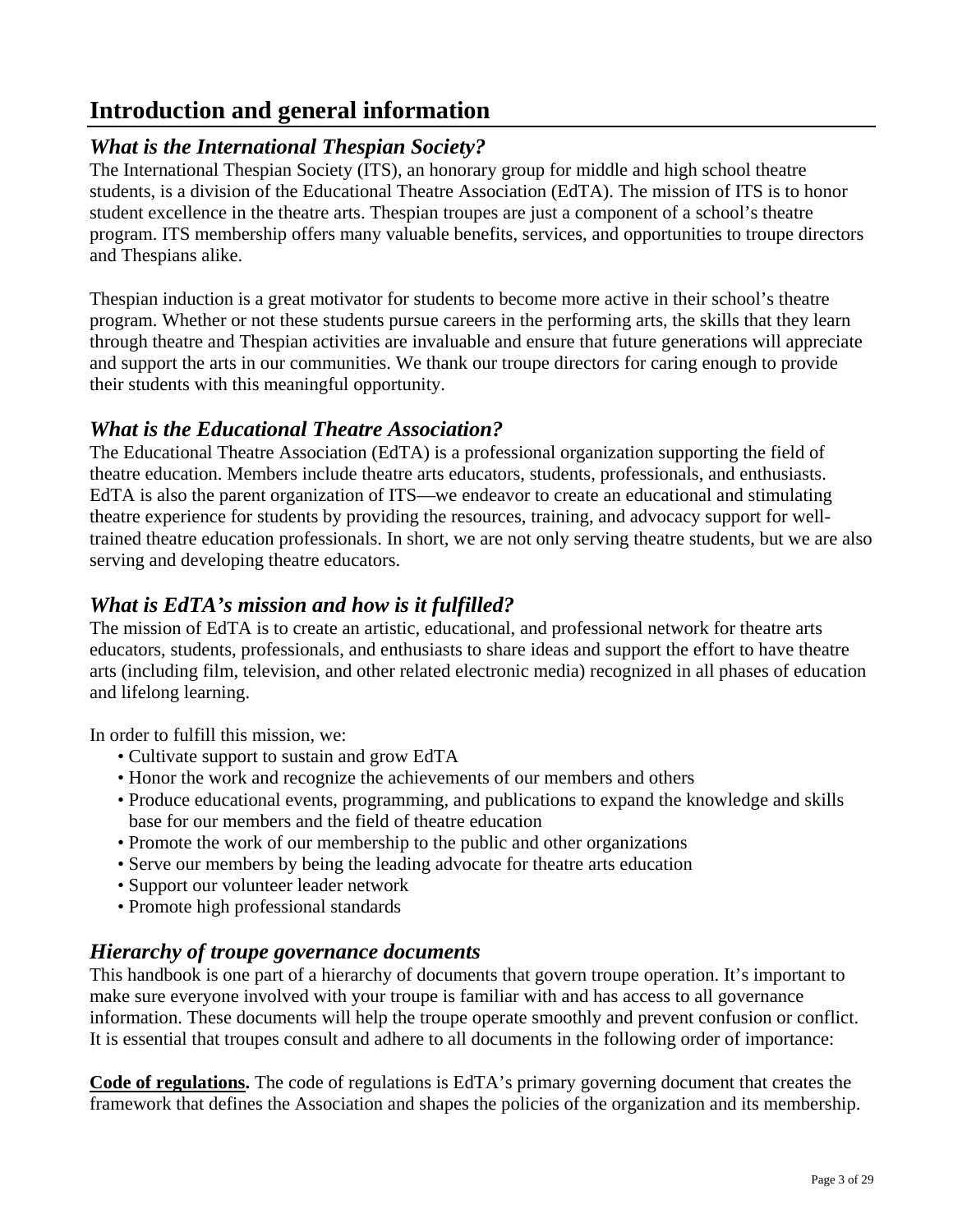# <span id="page-2-0"></span>**Introduction and general information**

# *What is the International Thespian Society?*

The International Thespian Society (ITS), an honorary group for middle and high school theatre students, is a division of the Educational Theatre Association (EdTA). The mission of ITS is to honor student excellence in the theatre arts. Thespian troupes are just a component of a school's theatre program. ITS membership offers many valuable benefits, services, and opportunities to troupe directors and Thespians alike.

Thespian induction is a great motivator for students to become more active in their school's theatre program. Whether or not these students pursue careers in the performing arts, the skills that they learn through theatre and Thespian activities are invaluable and ensure that future generations will appreciate and support the arts in our communities. We thank our troupe directors for caring enough to provide their students with this meaningful opportunity.

# *What is the Educational Theatre Association?*

The Educational Theatre Association (EdTA) is a professional organization supporting the field of theatre education. Members include theatre arts educators, students, professionals, and enthusiasts. EdTA is also the parent organization of ITS—we endeavor to create an educational and stimulating theatre experience for students by providing the resources, training, and advocacy support for welltrained theatre education professionals. In short, we are not only serving theatre students, but we are also serving and developing theatre educators.

# *What is EdTA's mission and how is it fulfilled?*

The mission of EdTA is to create an artistic, educational, and professional network for theatre arts educators, students, professionals, and enthusiasts to share ideas and support the effort to have theatre arts (including film, television, and other related electronic media) recognized in all phases of education and lifelong learning.

In order to fulfill this mission, we:

- Cultivate support to sustain and grow EdTA
- Honor the work and recognize the achievements of our members and others
- Produce educational events, programming, and publications to expand the knowledge and skills base for our members and the field of theatre education
- Promote the work of our membership to the public and other organizations
- Serve our members by being the leading advocate for theatre arts education
- Support our volunteer leader network
- Promote high professional standards

# *Hierarchy of troupe governance documents*

This handbook is one part of a hierarchy of documents that govern troupe operation. It's important to make sure everyone involved with your troupe is familiar with and has access to all governance information. These documents will help the troupe operate smoothly and prevent confusion or conflict. It is essential that troupes consult and adhere to all documents in the following order of importance:

**Code of regulations.** The code of regulations is EdTA's primary governing document that creates the framework that defines the Association and shapes the policies of the organization and its membership.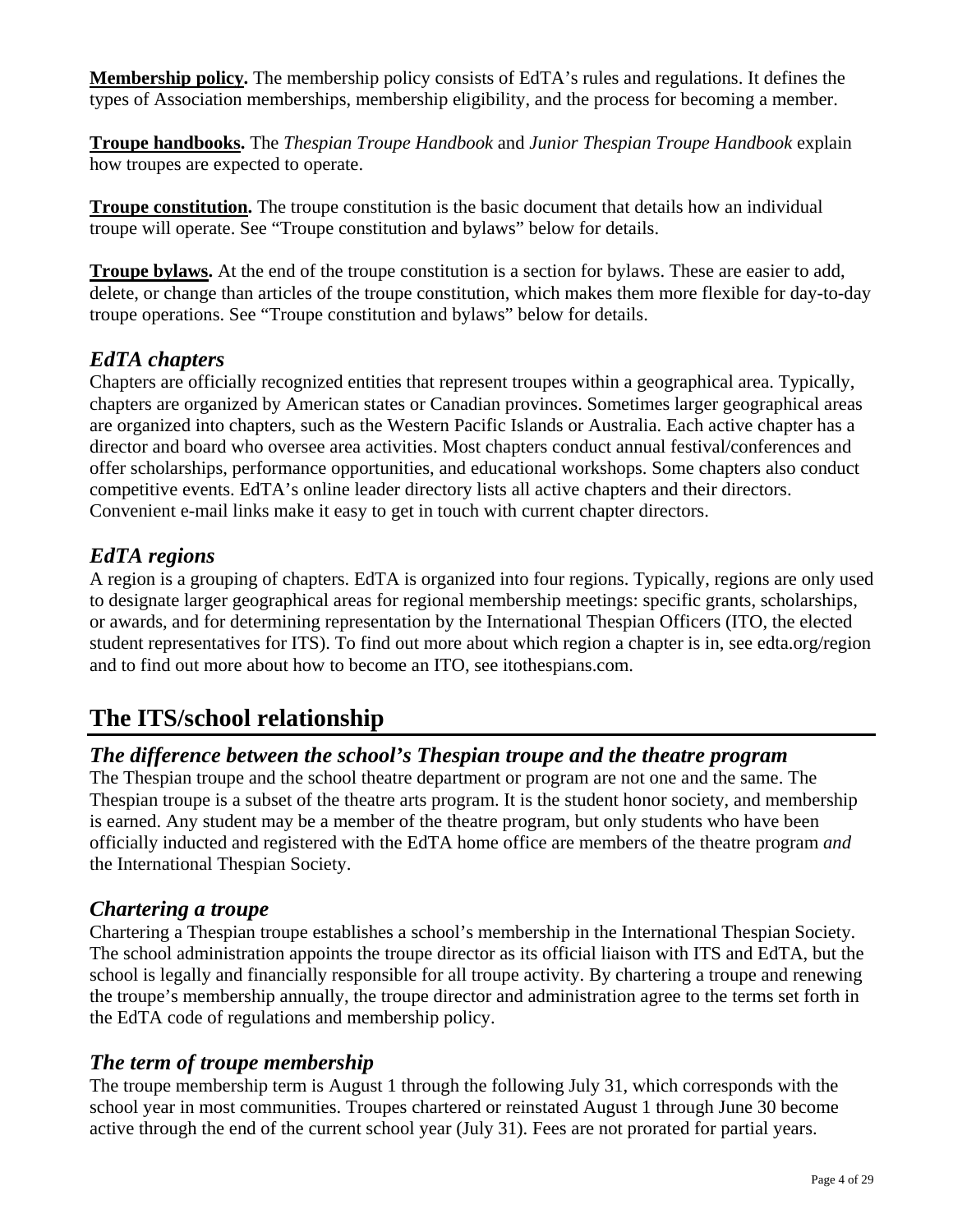<span id="page-3-0"></span>**Membership policy.** The membership policy consists of EdTA's rules and regulations. It defines the types of Association memberships, membership eligibility, and the process for becoming a member.

**Troupe handbooks.** The *Thespian Troupe Handbook* and *Junior Thespian Troupe Handbook* explain how troupes are expected to operate.

**Troupe constitution.** The troupe constitution is the basic document that details how an individual troupe will operate. See ["Troupe constitution and bylaws"](#page-8-0) below for details.

**Troupe bylaws.** At the end of the troupe constitution is a section for bylaws. These are easier to add, delete, or change than articles of the troupe constitution, which makes them more flexible for day-to-day troupe operations. See ["Troupe constitution and bylaws"](#page-8-0) below for details.

# *EdTA chapters*

Chapters are officially recognized entities that represent troupes within a geographical area. Typically, chapters are organized by American states or Canadian provinces. Sometimes larger geographical areas are organized into chapters, such as the Western Pacific Islands or Australia. Each active chapter has a director and board who oversee area activities. Most chapters conduct annual festival/conferences and offer scholarships, performance opportunities, and educational workshops. Some chapters also conduct competitive events. EdTA's [online leader directory](www.edta.org/connections/leadership.aspx) lists all active chapters and their directors. Convenient e-mail links make it easy to get in touch with current chapter directors.

# *EdTA regions*

A region is a grouping of chapters. EdTA is organized into four regions. Typically, regions are only used to designate larger geographical areas for regional membership meetings: specific grants, scholarships, or awards, and for determining representation by the International Thespian Officers (ITO, the elected student representatives for ITS). To find out more about which region a chapter is in, see [edta.org/region](www.edta.org/region)  and to find out more about how to become an ITO, se[e itothespians.com.](www.itothespians.com)

# **The ITS/school relationship**

# *The difference between the school's Thespian troupe and the theatre program*

The Thespian troupe and the school theatre department or program are not one and the same. The Thespian troupe is a subset of the theatre arts program. It is the student honor society, and membership is earned. Any student may be a member of the theatre program, but only students who have been officially inducted and registered with the EdTA home office are members of the theatre program *and* the International Thespian Society.

# *Chartering a troupe*

Chartering a Thespian troupe establishes a school's membership in the International Thespian Society. The school administration appoints the troupe director as its official liaison with ITS and EdTA, but the school is legally and financially responsible for all troupe activity. By chartering a troupe and renewing the troupe's membership annually, the troupe director and administration agree to the terms set forth in the EdTA code of regulations and membership policy.

# *The term of troupe membership*

The troupe membership term is August 1 through the following July 31, which corresponds with the school year in most communities. Troupes chartered or reinstated August 1 through June 30 become active through the end of the current school year (July 31). Fees are not prorated for partial years.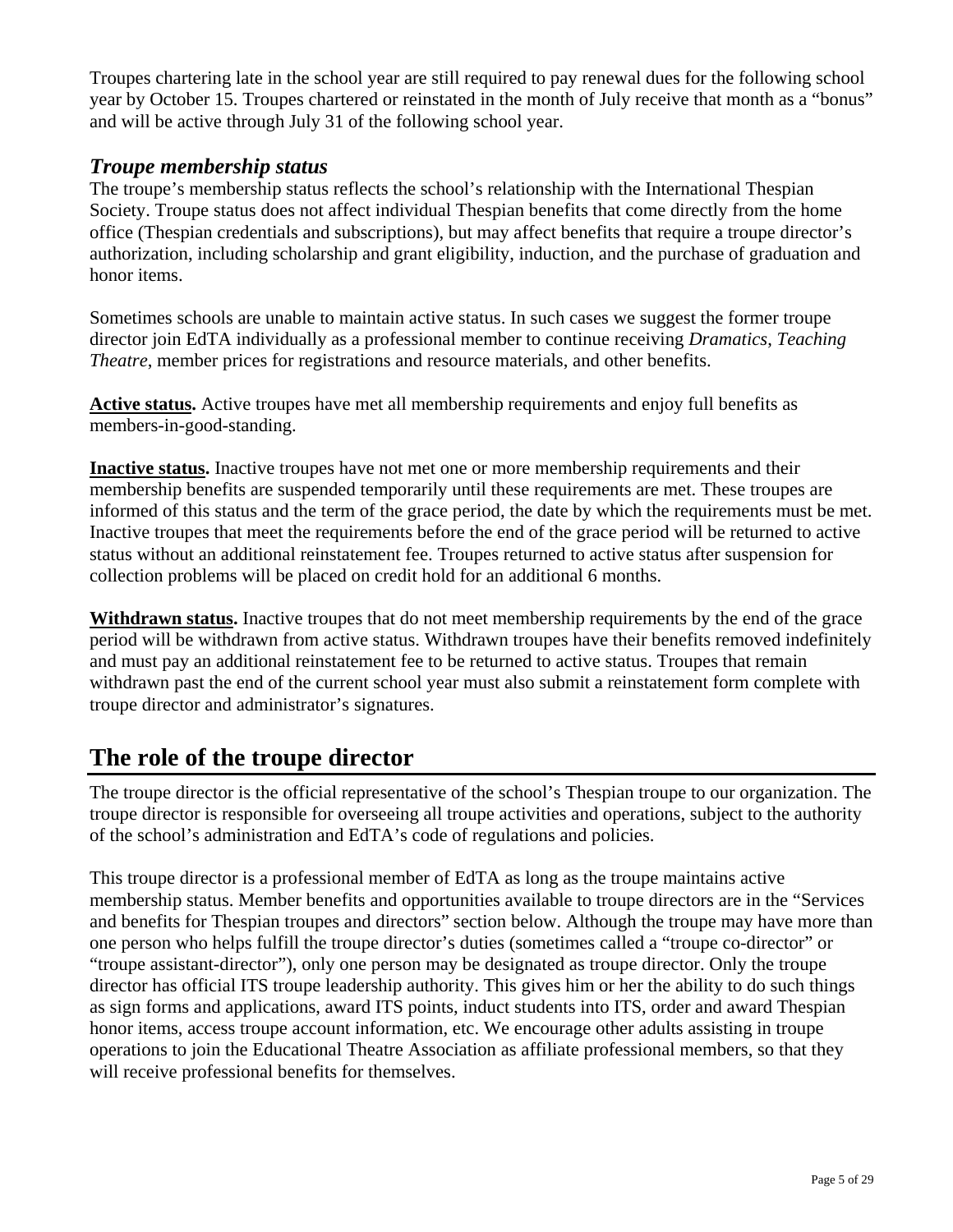<span id="page-4-0"></span>Troupes chartering late in the school year are still required to pay renewal dues for the following school year by October 15. Troupes chartered or reinstated in the month of July receive that month as a "bonus" and will be active through July 31 of the following school year.

## *Troupe membership status*

The troupe's membership status reflects the school's relationship with the International Thespian Society. Troupe status does not affect individual Thespian benefits that come directly from the home office (Thespian credentials and subscriptions), but may affect benefits that require a troupe director's authorization, including scholarship and grant eligibility, induction, and the purchase of graduation and honor items.

Sometimes schools are unable to maintain active status. In such cases we suggest the former troupe director join EdTA individually as a professional member to continue receiving *Dramatics*, *Teaching Theatre*, member prices for registrations and resource materials, and other benefits.

**Active status.** Active troupes have met all membership requirements and enjoy full benefits as members-in-good-standing.

**Inactive status.** Inactive troupes have not met one or more membership requirements and their membership benefits are suspended temporarily until these requirements are met. These troupes are informed of this status and the term of the grace period, the date by which the requirements must be met. Inactive troupes that meet the requirements before the end of the grace period will be returned to active status without an additional reinstatement fee. Troupes returned to active status after suspension for collection problems will be placed on credit hold for an additional 6 months.

**Withdrawn status.** Inactive troupes that do not meet membership requirements by the end of the grace period will be withdrawn from active status. Withdrawn troupes have their benefits removed indefinitely and must pay an additional reinstatement fee to be returned to active status. Troupes that remain withdrawn past the end of the current school year must also submit a reinstatement form complete with troupe director and administrator's signatures.

# **The role of the troupe director**

The troupe director is the official representative of the school's Thespian troupe to our organization. The troupe director is responsible for overseeing all troupe activities and operations, subject to the authority of the school's administration and EdTA's code of regulations and policies.

This troupe director is a professional member of EdTA as long as the troupe maintains active membership status. Member benefits and opportunities available to troupe directors are in the ["Services](#page-19-0)  [and benefits for Thespian troupes and directors"](#page-18-0) section below. Although the troupe may have more than one person who helps fulfill the troupe director's duties (sometimes called a "troupe co-director" or "troupe assistant-director"), only one person may be designated as troupe director. Only the troupe director has official ITS troupe leadership authority. This gives him or her the ability to do such things as sign forms and applications, award ITS points, induct students into ITS, order and award Thespian honor items, access troupe account information, etc. We encourage other adults assisting in troupe operations to join the Educational Theatre Association as affiliate professional members, so that they will receive professional benefits for themselves.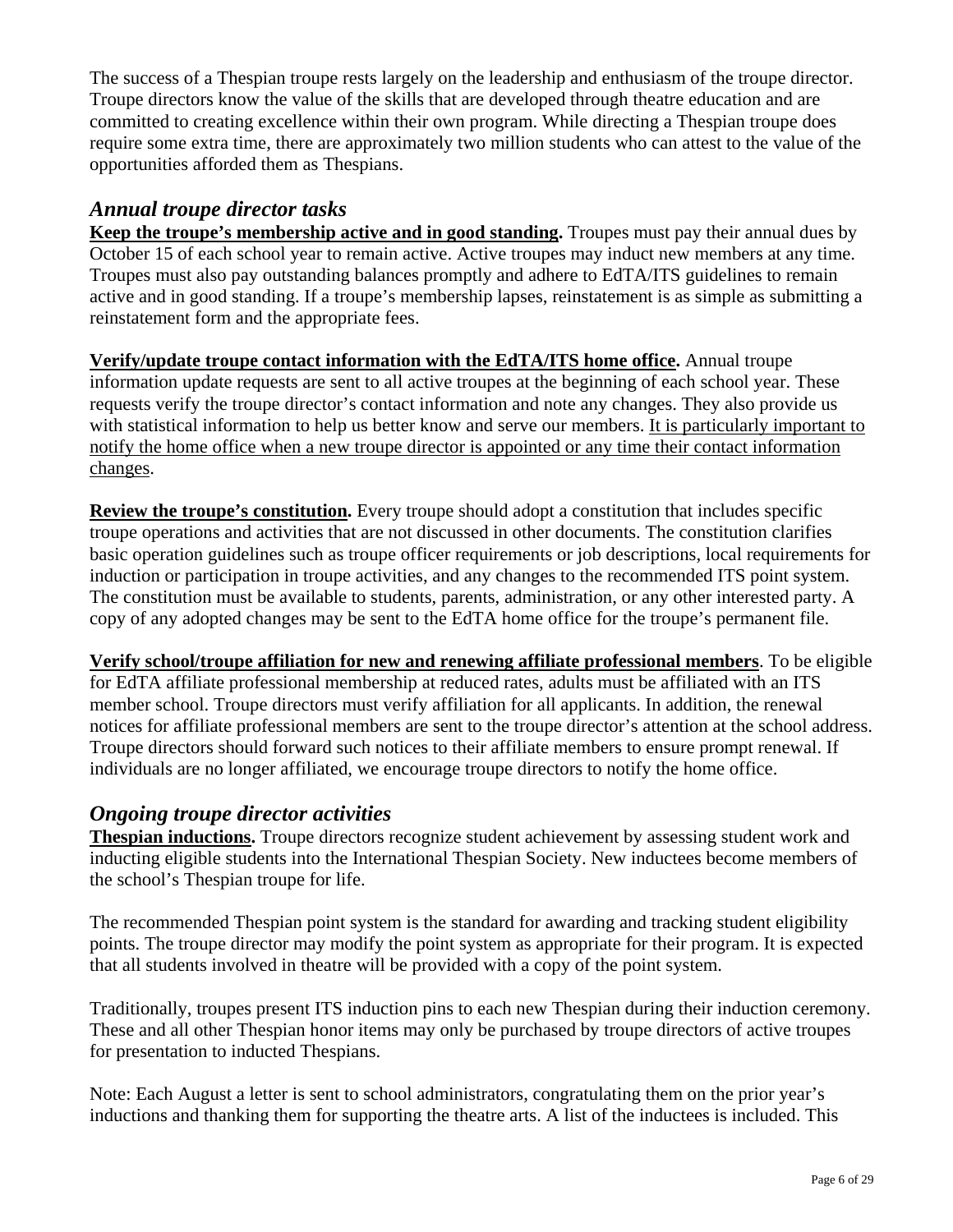<span id="page-5-0"></span>The success of a Thespian troupe rests largely on the leadership and enthusiasm of the troupe director. Troupe directors know the value of the skills that are developed through theatre education and are committed to creating excellence within their own program. While directing a Thespian troupe does require some extra time, there are approximately two million students who can attest to the value of the opportunities afforded them as Thespians.

# *Annual troupe director tasks*

**Keep the troupe's membership active and in good standing.** Troupes must pay their annual dues by October 15 of each school year to remain active. Active troupes may induct new members at any time. Troupes must also pay outstanding balances promptly and adhere to EdTA/ITS guidelines to remain active and in good standing. If a troupe's membership lapses, reinstatement is as simple as submitting a reinstatement form and the appropriate fees.

**Verify/update troupe contact information with the EdTA/ITS home office.** Annual troupe information update requests are sent to all active troupes at the beginning of each school year. These requests verify the troupe director's contact information and note any changes. They also provide us with statistical information to help us better know and serve our members. It is particularly important to notify the home office when a new troupe director is appointed or any time their contact information changes.

**Review the troupe's constitution.** Every troupe should adopt a constitution that includes specific troupe operations and activities that are not discussed in other documents. The constitution clarifies basic operation guidelines such as troupe officer requirements or job descriptions, local requirements for induction or participation in troupe activities, and any changes to the recommended ITS point system. The constitution must be available to students, parents, administration, or any other interested party. A copy of any adopted changes may be sent to the EdTA home office for the troupe's permanent file.

**Verify school/troupe affiliation for new and renewing affiliate professional members**. To be eligible for EdTA affiliate professional membership at reduced rates, adults must be affiliated with an ITS member school. Troupe directors must verify affiliation for all applicants. In addition, the renewal notices for affiliate professional members are sent to the troupe director's attention at the school address. Troupe directors should forward such notices to their affiliate members to ensure prompt renewal. If individuals are no longer affiliated, we encourage troupe directors to notify the home office.

# *Ongoing troupe director activities*

**Thespian inductions.** Troupe directors recognize student achievement by assessing student work and inducting eligible students into the International Thespian Society. New inductees become members of the school's Thespian troupe for life.

The recommended Thespian point system is the standard for awarding and tracking student eligibility points. The troupe director may modify the point system as appropriate for their program. It is expected that all students involved in theatre will be provided with a copy of the point system.

Traditionally, troupes present ITS induction pins to each new Thespian during their induction ceremony. These and all other Thespian honor items may only be purchased by troupe directors of active troupes for presentation to inducted Thespians.

Note: Each August a letter is sent to school administrators, congratulating them on the prior year's inductions and thanking them for supporting the theatre arts. A list of the inductees is included. This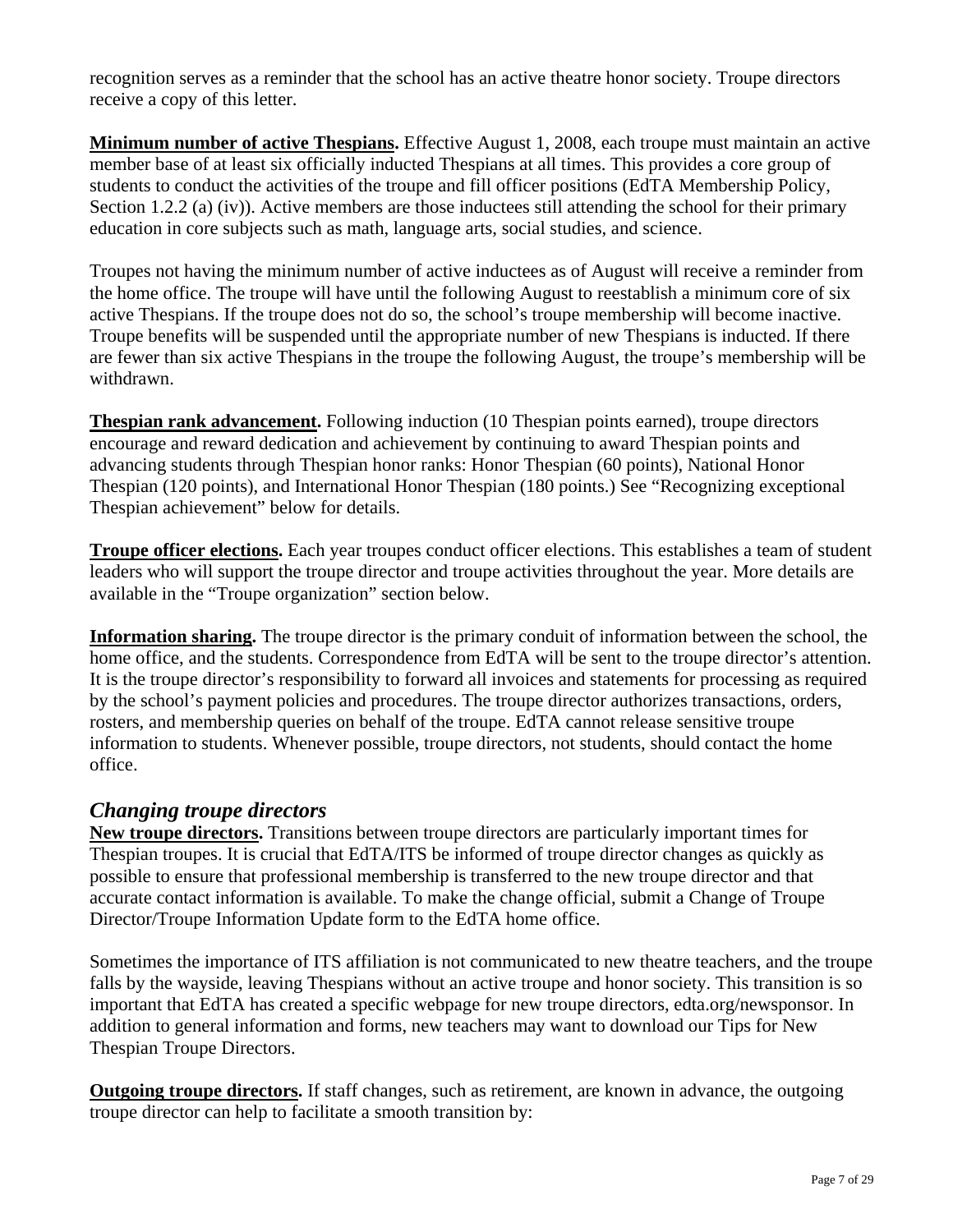<span id="page-6-0"></span>recognition serves as a reminder that the school has an active theatre honor society. Troupe directors receive a copy of this letter.

**Minimum number of active Thespians.** Effective August 1, 2008, each troupe must maintain an active member base of at least six officially inducted Thespians at all times. This provides a core group of students to conduct the activities of the troupe and fill officer positions (EdTA Membership Policy, Section 1.2.2 (a) (iv)). Active members are those inductees still attending the school for their primary education in core subjects such as math, language arts, social studies, and science.

Troupes not having the minimum number of active inductees as of August will receive a reminder from the home office. The troupe will have until the following August to reestablish a minimum core of six active Thespians. If the troupe does not do so, the school's troupe membership will become inactive. Troupe benefits will be suspended until the appropriate number of new Thespians is inducted. If there are fewer than six active Thespians in the troupe the following August, the troupe's membership will be withdrawn.

**Thespian rank advancement.** Following induction (10 Thespian points earned), troupe directors encourage and reward dedication and achievement by continuing to award Thespian points and advancing students through Thespian honor ranks: Honor Thespian (60 points), National Honor Thespian (120 points), and International Honor Thespian (180 points.) See ["Recognizing exceptional](#page-13-0)  [Thespian achievement"](#page-13-0) below for details.

**Troupe officer elections.** Each year troupes conduct officer elections. This establishes a team of student leaders who will support the troupe director and troupe activities throughout the year. More details are available in the ["Troupe organization"](#page-7-0) section below.

**Information sharing.** The troupe director is the primary conduit of information between the school, the home office, and the students. Correspondence from EdTA will be sent to the troupe director's attention. It is the troupe director's responsibility to forward all invoices and statements for processing as required by the school's payment policies and procedures. The troupe director authorizes transactions, orders, rosters, and membership queries on behalf of the troupe. EdTA cannot release sensitive troupe information to students. Whenever possible, troupe directors, not students, should contact the home office.

# *Changing troupe directors*

**New troupe directors.** Transitions between troupe directors are particularly important times for Thespian troupes. It is crucial that EdTA/ITS be informed of troupe director changes as quickly as possible to ensure that professional membership is transferred to the new troupe director and that accurate contact information is available. To make the change official, submit a Change of Troupe Director/Troupe Information Update form to the EdTA home office.

Sometimes the importance of ITS affiliation is not communicated to new theatre teachers, and the troupe falls by the wayside, leaving Thespians without an active troupe and honor society. This transition is so important that EdTA has created a specific webpage for new troupe directors, [edta.org/newsponsor.](www.edta.org/membership/new_sponsor.aspx) In addition to general information and forms, new teachers may want to download our [Tips for New](www.edta.org/pdf_archive/tips_new_TD633221635901250000.pdf)  [Thespian Troupe Directors.](www.edta.org/pdf_archive/tips_new_TD633221635901250000.pdf)

**Outgoing troupe directors.** If staff changes, such as retirement, are known in advance, the outgoing troupe director can help to facilitate a smooth transition by: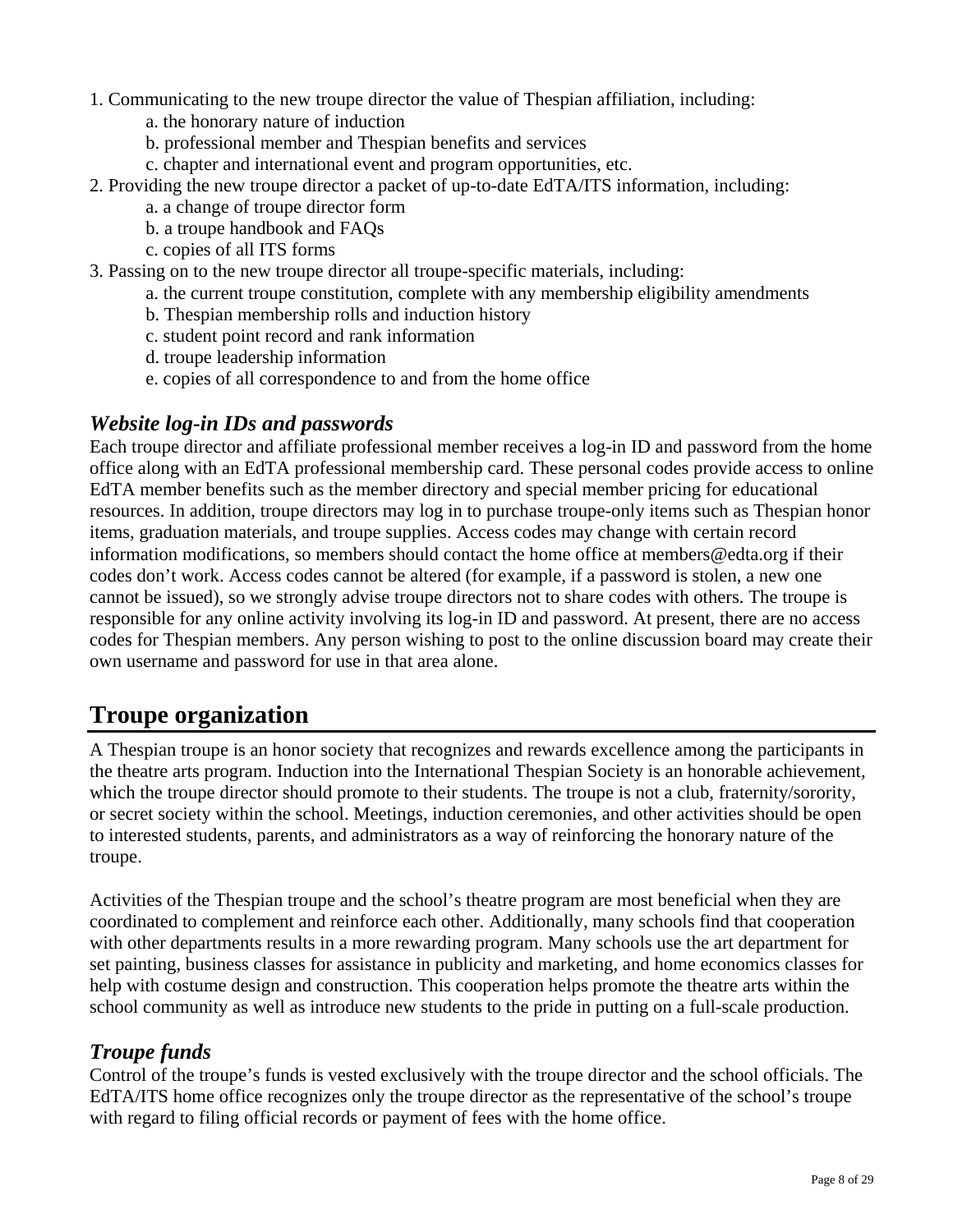- <span id="page-7-0"></span>1. Communicating to the new troupe director the value of Thespian affiliation, including:
	- a. the honorary nature of induction
	- b. professional member and Thespian benefits and services
	- c. chapter and international event and program opportunities, etc.
- 2. Providing the new troupe director a packet of up-to-date EdTA/ITS information, including:
	- a. a change of troupe director form
	- b. a troupe handbook and FAQs
	- c. copies of all ITS forms
- 3. Passing on to the new troupe director all troupe-specific materials, including:
	- a. the current troupe constitution, complete with any membership eligibility amendments
	- b. Thespian membership rolls and induction history
	- c. student point record and rank information
	- d. troupe leadership information
	- e. copies of all correspondence to and from the home office

## *Website log-in IDs and passwords*

Each troupe director and affiliate professional member receives a log-in ID and password from the home office along with an EdTA professional membership card. These personal codes provide access to online EdTA member benefits such as the member directory and special member pricing for educational resources. In addition, troupe directors may log in to purchase troupe-only items such as Thespian honor items, graduation materials, and troupe supplies. Access codes may change with certain record information modifications, so members should contact the home office at [members@edta.org](mailto:members@edta.org) if their codes don't work. Access codes cannot be altered (for example, if a password is stolen, a new one cannot be issued), so we strongly advise troupe directors not to share codes with others. The troupe is responsible for any online activity involving its log-in ID and password. At present, there are no access codes for Thespian members. Any person wishing to post to the [online discussion board](www.edta.org/connections/discussion.aspx) may create their own username and password for use in that area alone.

# **Troupe organization**

A Thespian troupe is an honor society that recognizes and rewards excellence among the participants in the theatre arts program. Induction into the International Thespian Society is an honorable achievement, which the troupe director should promote to their students. The troupe is not a club, fraternity/sorority, or secret society within the school. Meetings, induction ceremonies, and other activities should be open to interested students, parents, and administrators as a way of reinforcing the honorary nature of the troupe.

Activities of the Thespian troupe and the school's theatre program are most beneficial when they are coordinated to complement and reinforce each other. Additionally, many schools find that cooperation with other departments results in a more rewarding program. Many schools use the art department for set painting, business classes for assistance in publicity and marketing, and home economics classes for help with costume design and construction. This cooperation helps promote the theatre arts within the school community as well as introduce new students to the pride in putting on a full-scale production.

# *Troupe funds*

Control of the troupe's funds is vested exclusively with the troupe director and the school officials. The EdTA/ITS home office recognizes only the troupe director as the representative of the school's troupe with regard to filing official records or payment of fees with the home office.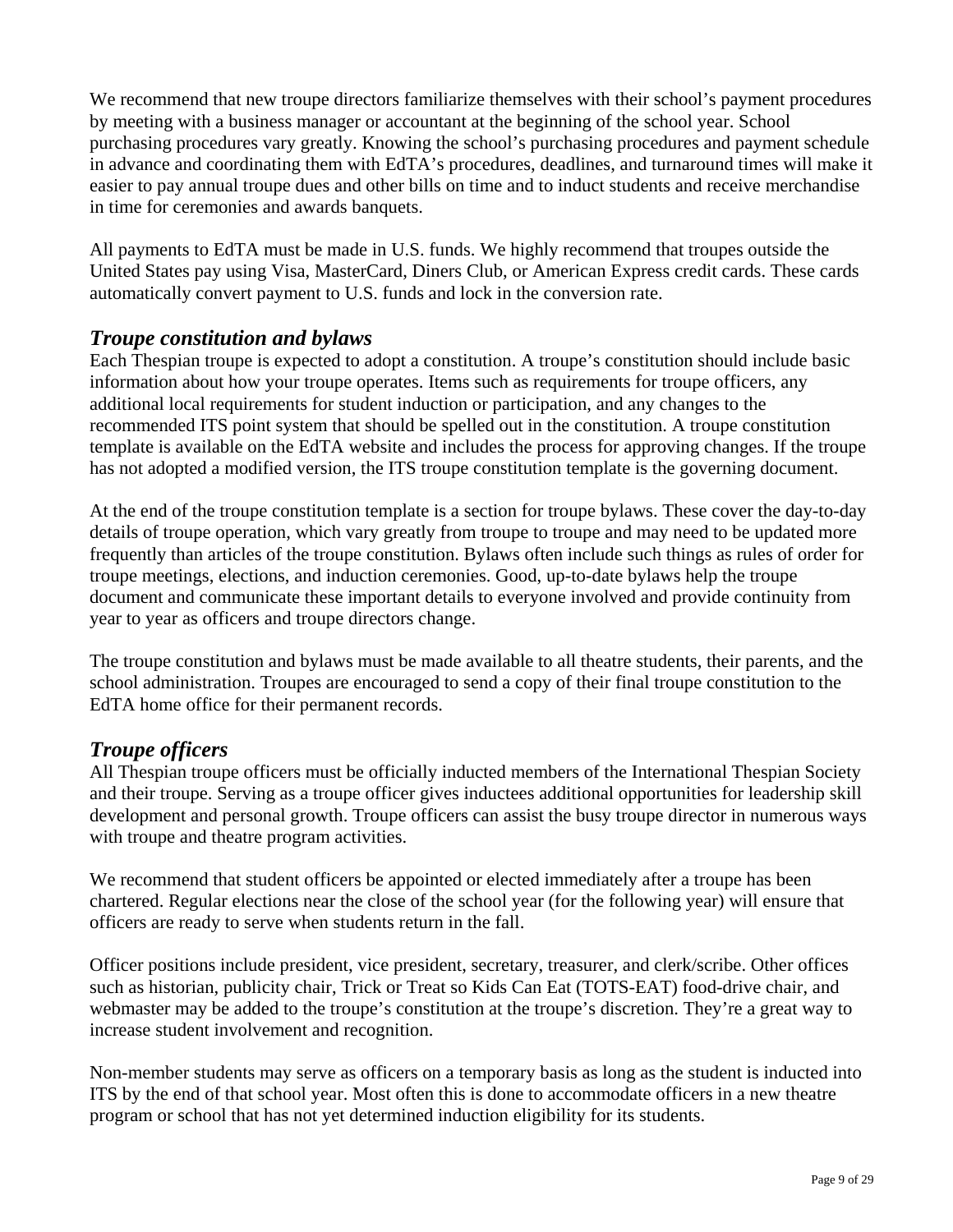<span id="page-8-0"></span>We recommend that new troupe directors familiarize themselves with their school's payment procedures by meeting with a business manager or accountant at the beginning of the school year. School purchasing procedures vary greatly. Knowing the school's purchasing procedures and payment schedule in advance and coordinating them with EdTA's procedures, deadlines, and turnaround times will make it easier to pay annual troupe dues and other bills on time and to induct students and receive merchandise in time for ceremonies and awards banquets.

All payments to EdTA must be made in U.S. funds. We highly recommend that troupes outside the United States pay using Visa, MasterCard, Diners Club, or American Express credit cards. These cards automatically convert payment to U.S. funds and lock in the conversion rate.

# *Troupe constitution and bylaws*

Each Thespian troupe is expected to adopt a constitution. A troupe's constitution should include basic information about how your troupe operates. Items such as requirements for troupe officers, any additional local requirements for student induction or participation, and any changes to the recommended ITS point system that should be spelled out in the constitution. A [troupe constitution](www.edta.org/pdf_archive/08ITS_tr_const_template633397823655937500.pdf)  [template](www.edta.org/pdf_archive/08ITS_tr_const_template633397823655937500.pdf) is available on the EdTA website and includes the process for approving changes. If the troupe has not adopted a modified version, the ITS troupe constitution template is the governing document.

At the end of the troupe constitution template is a section for troupe bylaws. These cover the day-to-day details of troupe operation, which vary greatly from troupe to troupe and may need to be updated more frequently than articles of the troupe constitution. Bylaws often include such things as rules of order for troupe meetings, elections, and induction ceremonies. Good, up-to-date bylaws help the troupe document and communicate these important details to everyone involved and provide continuity from year to year as officers and troupe directors change.

The troupe constitution and bylaws must be made available to all theatre students, their parents, and the school administration. Troupes are encouraged to send a copy of their final troupe constitution to the EdTA home office for their permanent records.

# *Troupe officers*

All Thespian troupe officers must be officially inducted members of the International Thespian Society and their troupe. Serving as a troupe officer gives inductees additional opportunities for leadership skill development and personal growth. Troupe officers can assist the busy troupe director in numerous ways with troupe and theatre program activities.

We recommend that student officers be appointed or elected immediately after a troupe has been chartered. Regular elections near the close of the school year (for the following year) will ensure that officers are ready to serve when students return in the fall.

Officer positions include president, vice president, secretary, treasurer, and clerk/scribe. Other offices such as historian, publicity chair, Trick or Treat so Kids Can Eat (TOTS-EAT) food-drive chair, and webmaster may be added to the troupe's constitution at the troupe's discretion. They're a great way to increase student involvement and recognition.

Non-member students may serve as officers on a temporary basis as long as the student is inducted into ITS by the end of that school year. Most often this is done to accommodate officers in a new theatre program or school that has not yet determined induction eligibility for its students.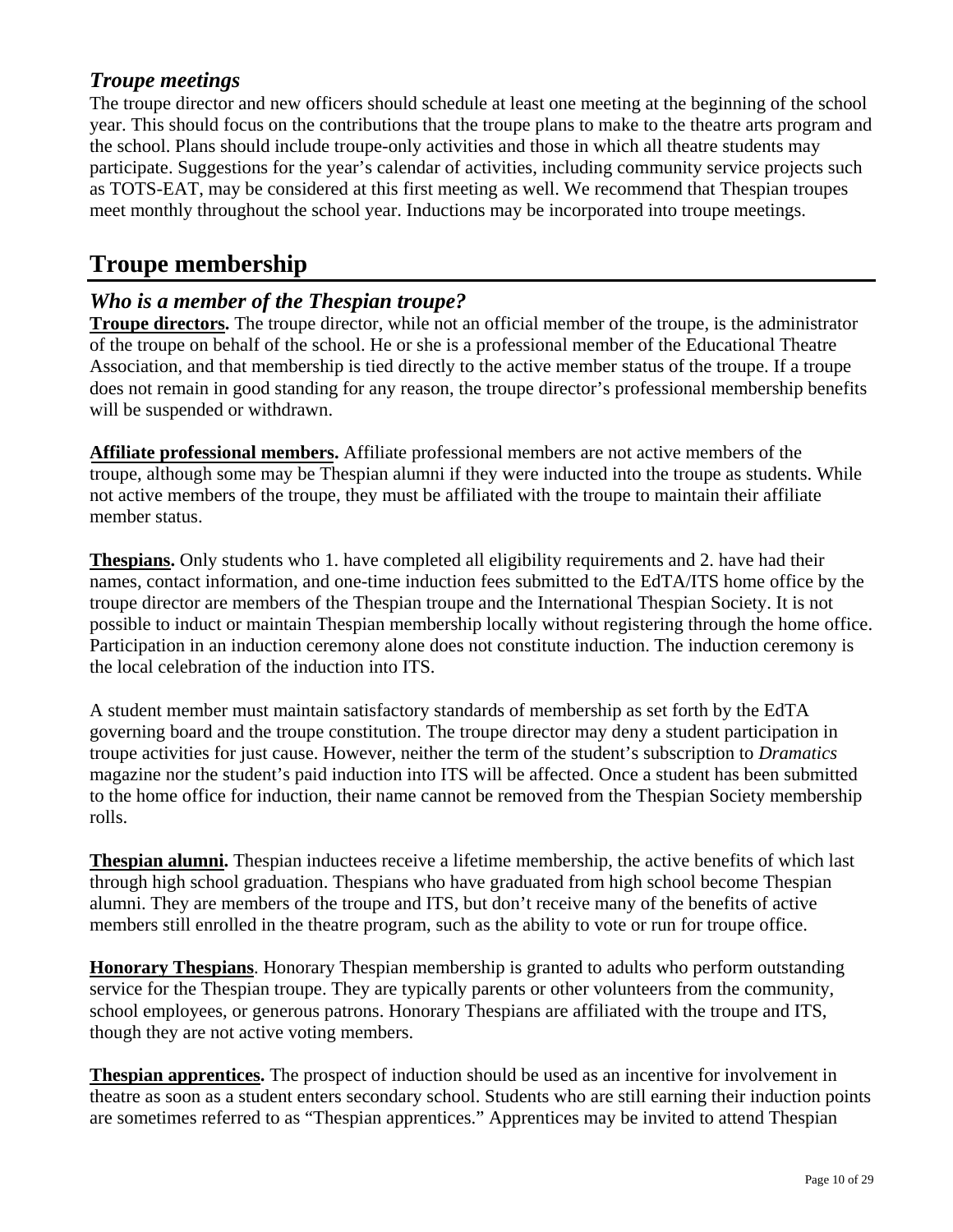# <span id="page-9-0"></span>*Troupe meetings*

The troupe director and new officers should schedule at least one meeting at the beginning of the school year. This should focus on the contributions that the troupe plans to make to the theatre arts program and the school. Plans should include troupe-only activities and those in which all theatre students may participate. Suggestions for the year's calendar of activities, including community service projects such as TOTS-EAT, may be considered at this first meeting as well. We recommend that Thespian troupes meet monthly throughout the school year. Inductions may be incorporated into troupe meetings.

# **Troupe membership**

# *Who is a member of the Thespian troupe?*

**Troupe directors.** The troupe director, while not an official member of the troupe, is the administrator of the troupe on behalf of the school. He or she is a professional member of the Educational Theatre Association, and that membership is tied directly to the active member status of the troupe. If a troupe does not remain in good standing for any reason, the troupe director's professional membership benefits will be suspended or withdrawn.

**Affiliate professional members.** Affiliate professional members are not active members of the troupe, although some may be Thespian alumni if they were inducted into the troupe as students. While not active members of the troupe, they must be affiliated with the troupe to maintain their affiliate member status.

**Thespians.** Only students who 1. have completed all eligibility requirements and 2. have had their names, contact information, and one-time induction fees submitted to the EdTA/ITS home office by the troupe director are members of the Thespian troupe and the International Thespian Society. It is not possible to induct or maintain Thespian membership locally without registering through the home office. Participation in an induction ceremony alone does not constitute induction. The induction ceremony is the local celebration of the induction into ITS.

A student member must maintain satisfactory standards of membership as set forth by the EdTA governing board and the troupe constitution. The troupe director may deny a student participation in troupe activities for just cause. However, neither the term of the student's subscription to *Dramatics* magazine nor the student's paid induction into ITS will be affected. Once a student has been submitted to the home office for induction, their name cannot be removed from the Thespian Society membership rolls.

**Thespian alumni.** Thespian inductees receive a lifetime membership, the active benefits of which last through high school graduation. Thespians who have graduated from high school become Thespian alumni. They are members of the troupe and ITS, but don't receive many of the benefits of active members still enrolled in the theatre program, such as the ability to vote or run for troupe office.

**Honorary Thespians**. Honorary Thespian membership is granted to adults who perform outstanding service for the Thespian troupe. They are typically parents or other volunteers from the community, school employees, or generous patrons. Honorary Thespians are affiliated with the troupe and ITS, though they are not active voting members.

**Thespian apprentices.** The prospect of induction should be used as an incentive for involvement in theatre as soon as a student enters secondary school. Students who are still earning their induction points are sometimes referred to as "Thespian apprentices." Apprentices may be invited to attend Thespian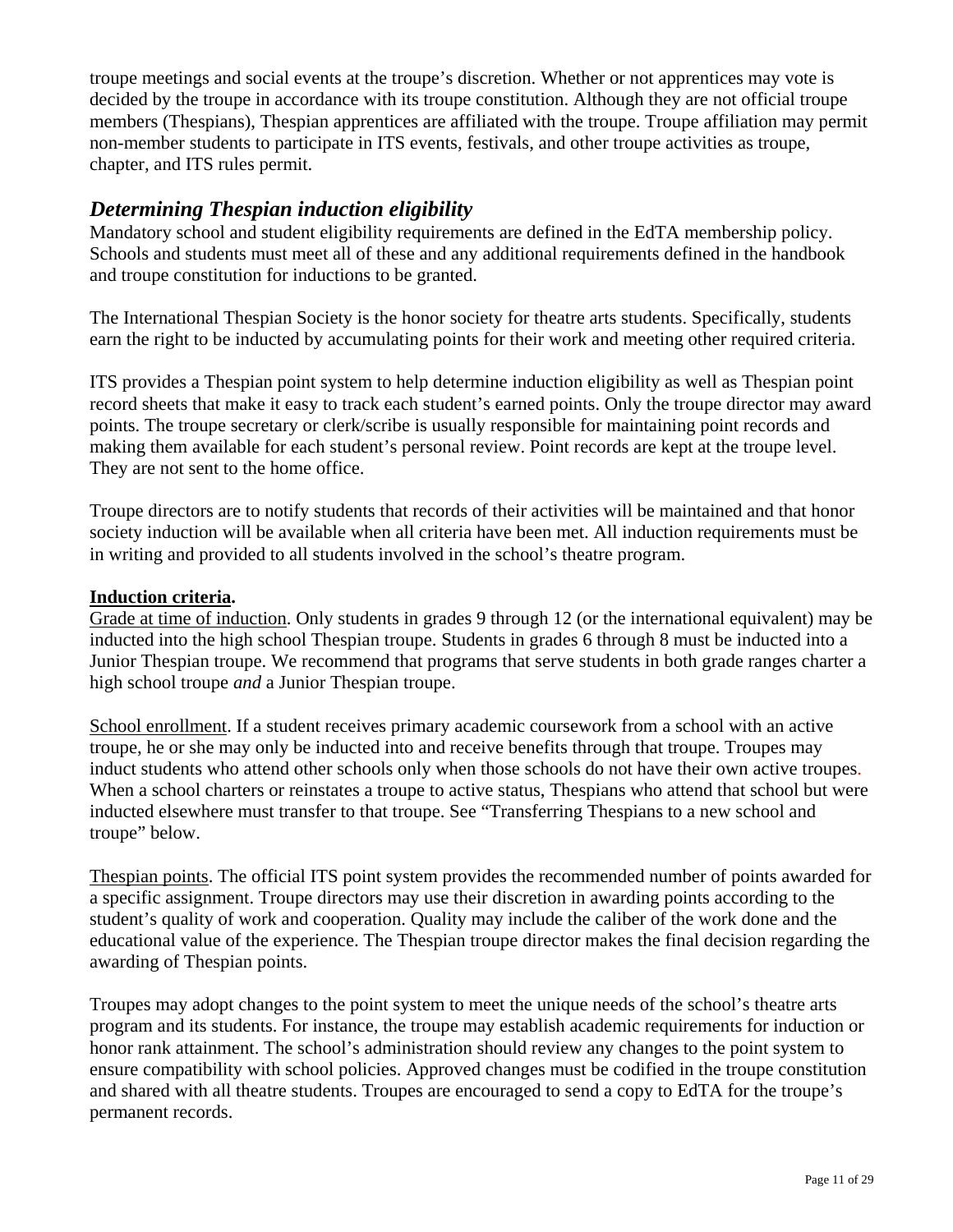<span id="page-10-0"></span>troupe meetings and social events at the troupe's discretion. Whether or not apprentices may vote is decided by the troupe in accordance with its troupe constitution. Although they are not official troupe members (Thespians), Thespian apprentices are affiliated with the troupe. Troupe affiliation may permit non-member students to participate in ITS events, festivals, and other troupe activities as troupe, chapter, and ITS rules permit.

# *Determining Thespian induction eligibility*

Mandatory school and student eligibility requirements are defined in the EdTA membership policy. Schools and students must meet all of these and any additional requirements defined in the handbook and troupe constitution for inductions to be granted.

The International Thespian Society is the honor society for theatre arts students. Specifically, students earn the right to be inducted by accumulating points for their work and meeting other required criteria.

ITS provides a Thespian point system to help determine induction eligibility as well as Thespian point record sheets that make it easy to track each student's earned points. Only the troupe director may award points. The troupe secretary or clerk/scribe is usually responsible for maintaining point records and making them available for each student's personal review. Point records are kept at the troupe level. They are not sent to the home office.

Troupe directors are to notify students that records of their activities will be maintained and that honor society induction will be available when all criteria have been met. All induction requirements must be in writing and provided to all students involved in the school's theatre program.

#### **Induction criteria.**

Grade at time of induction. Only students in grades 9 through 12 (or the international equivalent) may be inducted into the high school Thespian troupe. Students in grades 6 through 8 must be inducted into a Junior Thespian troupe. We recommend that programs that serve students in both grade ranges charter a high school troupe *and* a Junior Thespian troupe.

School enrollment. If a student receives primary academic coursework from a school with an active troupe, he or she may only be inducted into and receive benefits through that troupe. Troupes may induct students who attend other schools only when those schools do not have their own active troupes. When a school charters or reinstates a troupe to active status, Thespians who attend that school but were inducted elsewhere must transfer to that troupe. See ["Transferring Thespians to a new school and](#page-16-0)  [troupe"](#page-16-0) below.

Thespian points. The official ITS point system provides the recommended number of points awarded for a specific assignment. Troupe directors may use their discretion in awarding points according to the student's quality of work and cooperation. Quality may include the caliber of the work done and the educational value of the experience. The Thespian troupe director makes the final decision regarding the awarding of Thespian points.

Troupes may adopt changes to the point system to meet the unique needs of the school's theatre arts program and its students. For instance, the troupe may establish academic requirements for induction or honor rank attainment. The school's administration should review any changes to the point system to ensure compatibility with school policies. Approved changes must be codified in the troupe constitution and shared with all theatre students. Troupes are encouraged to send a copy to EdTA for the troupe's permanent records.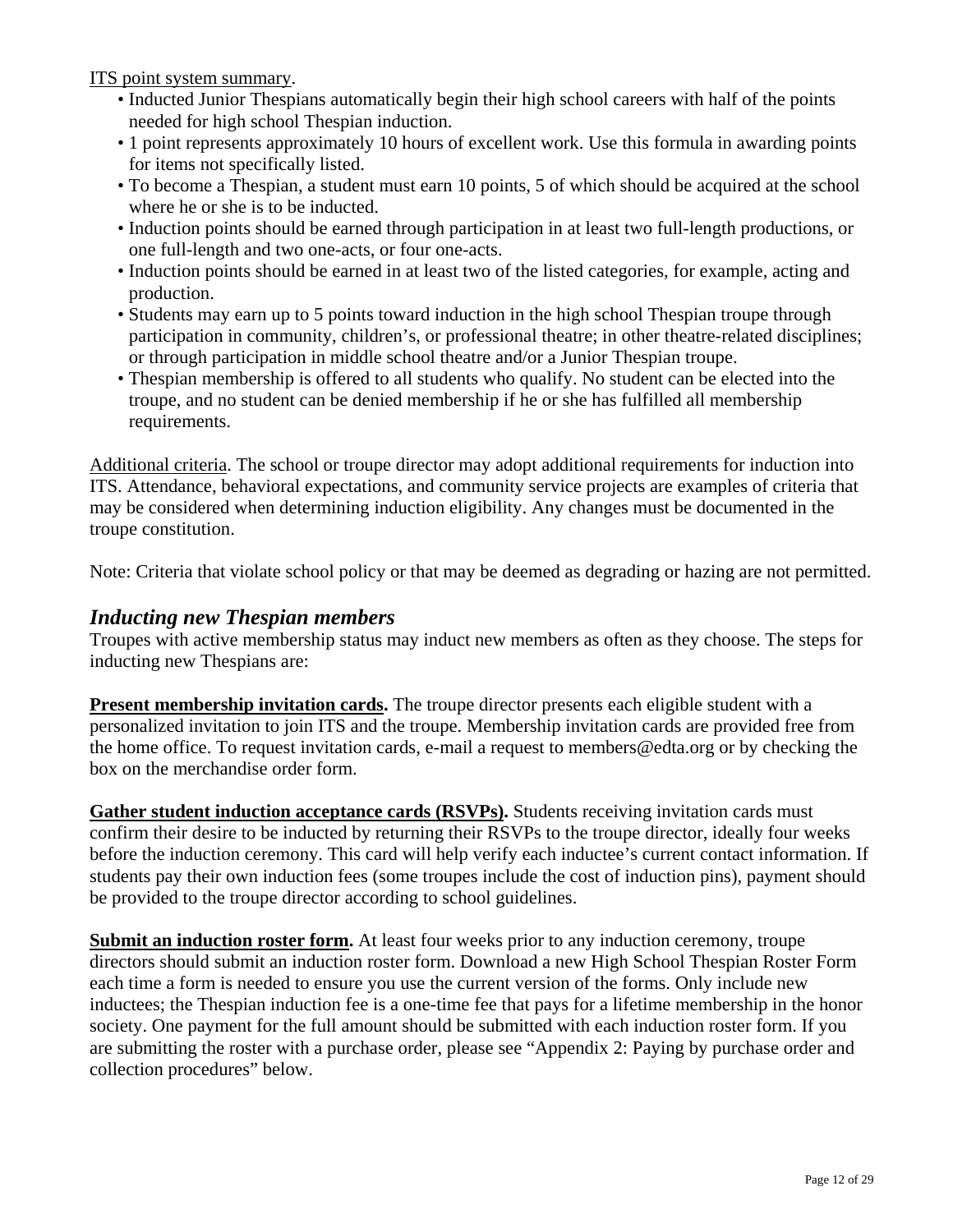<span id="page-11-0"></span>ITS point system summary.

- Inducted Junior Thespians automatically begin their high school careers with half of the points needed for high school Thespian induction.
- 1 point represents approximately 10 hours of excellent work. Use this formula in awarding points for items not specifically listed.
- To become a Thespian, a student must earn 10 points, 5 of which should be acquired at the school where he or she is to be inducted.
- Induction points should be earned through participation in at least two full-length productions, or one full-length and two one-acts, or four one-acts.
- Induction points should be earned in at least two of the listed categories, for example, acting and production.
- Students may earn up to 5 points toward induction in the high school Thespian troupe through participation in community, children's, or professional theatre; in other theatre-related disciplines; or through participation in middle school theatre and/or a Junior Thespian troupe.
- Thespian membership is offered to all students who qualify. No student can be elected into the troupe, and no student can be denied membership if he or she has fulfilled all membership requirements.

Additional criteria. The school or troupe director may adopt additional requirements for induction into ITS. Attendance, behavioral expectations, and community service projects are examples of criteria that may be considered when determining induction eligibility. Any changes must be documented in the troupe constitution.

Note: Criteria that violate school policy or that may be deemed as degrading or hazing are not permitted.

#### *Inducting new Thespian members*

Troupes with active membership status may induct new members as often as they choose. The steps for inducting new Thespians are:

**Present membership invitation cards.** The troupe director presents each eligible student with a personalized invitation to join ITS and the troupe. Membership invitation cards are provided free from the home office. To request invitation cards, e-mail a request to members@edta.org or by checking the box on the merchandise order form.

**Gather student induction acceptance cards (RSVPs).** Students receiving invitation cards must confirm their desire to be inducted by returning their RSVPs to the troupe director, ideally four weeks before the induction ceremony. This card will help verify each inductee's current contact information. If students pay their own induction fees (some troupes include the cost of induction pins), payment should be provided to the troupe director according to school guidelines.

**Submit an induction roster form.** At least four weeks prior to any induction ceremony, troupe directors should submit an induction roster form. Download a new High School Thespian Roster Form each time a form is needed to ensure you use the current version of the forms. Only include new inductees; the Thespian induction fee is a one-time fee that pays for a lifetime membership in the honor society. One payment for the full amount should be submitted with each induction roster form. If you are submitting the roster with a purchase order, please see ["Appendix 2: Paying by purchase order and](#page-26-0)  [collection procedures"](#page-26-0) below.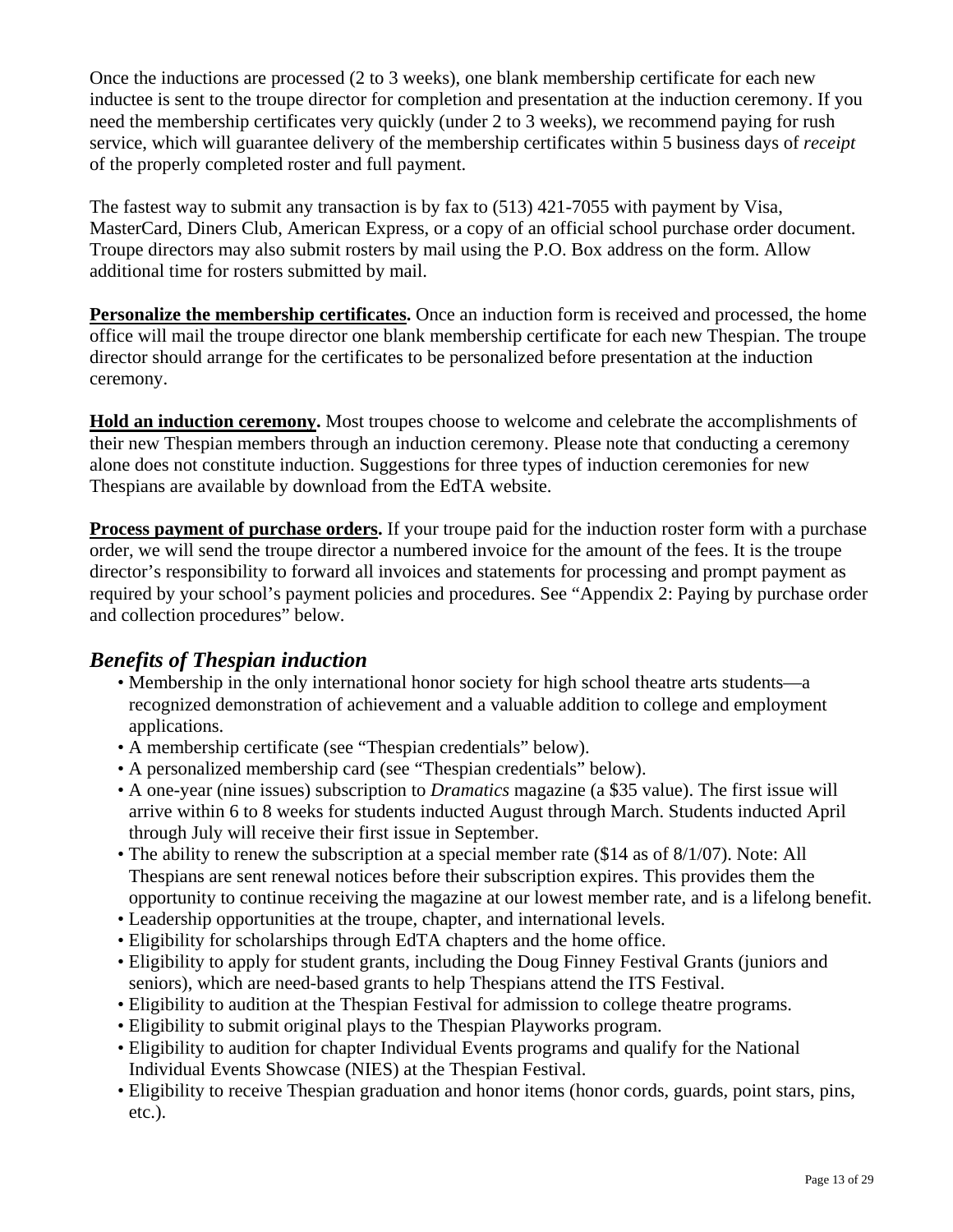<span id="page-12-0"></span>Once the inductions are processed (2 to 3 weeks), one blank membership certificate for each new inductee is sent to the troupe director for completion and presentation at the induction ceremony. If you need the membership certificates very quickly (under 2 to 3 weeks), we recommend paying for rush service, which will guarantee delivery of the membership certificates within 5 business days of *receipt* of the properly completed roster and full payment.

The fastest way to submit any transaction is by fax to (513) 421-7055 with payment by Visa, MasterCard, Diners Club, American Express, or a copy of an official school purchase order document. Troupe directors may also submit rosters by mail using the P.O. Box address on the form. Allow additional time for rosters submitted by mail.

**Personalize the membership certificates.** Once an induction form is received and processed, the home office will mail the troupe director one blank membership certificate for each new Thespian. The troupe director should arrange for the certificates to be personalized before presentation at the induction ceremony.

**Hold an induction ceremony.** Most troupes choose to welcome and celebrate the accomplishments of their new Thespian members through an induction ceremony. Please note that conducting a ceremony alone does not constitute induction. Suggestions for three types of [induction ceremonies for new](www.edta.org/pdf_archive/08ceremonies633397822225781250.pdf)  [Thespians](www.edta.org/pdf_archive/08ceremonies633397822225781250.pdf) are available by download from the EdTA website.

**Process payment of purchase orders.** If your troupe paid for the induction roster form with a purchase order, we will send the troupe director a numbered invoice for the amount of the fees. It is the troupe director's responsibility to forward all invoices and statements for processing and prompt payment as required by your school's payment policies and procedures. See ["Appendix 2: Paying by purchase order](#page-26-0)  [and collection procedures"](#page-26-0) below.

# *Benefits of Thespian induction*

- Membership in the only international honor society for high school theatre arts students—a recognized demonstration of achievement and a valuable addition to college and employment applications.
- A membership certificate (see ["Thespian credentials"](#page-13-0) below).
- A personalized membership card (see ["Thespian credentials"](#page-13-0) below).
- A one-year (nine issues) subscription to *Dramatics* magazine (a \$35 value). The first issue will arrive within 6 to 8 weeks for students inducted August through March. Students inducted April through July will receive their first issue in September.
- The ability to renew the subscription at a special member rate (\$14 as of 8/1/07). Note: All Thespians are sent renewal notices before their subscription expires. This provides them the opportunity to continue receiving the magazine at our lowest member rate, and is a lifelong benefit.
- Leadership opportunities at the troupe, chapter, and international levels.
- Eligibility for scholarships through EdTA chapters and the home office.
- Eligibility to apply for student grants, including the Doug Finney Festival Grants (juniors and seniors), which are need-based grants to help Thespians attend the ITS Festival.
- Eligibility to audition at the Thespian Festival for admission to college theatre programs.
- Eligibility to submit original plays to the Thespian Playworks program.
- Eligibility to audition for chapter Individual Events programs and qualify for the National Individual Events Showcase (NIES) at the Thespian Festival.
- Eligibility to receive Thespian graduation and honor items (honor cords, guards, point stars, pins, etc.).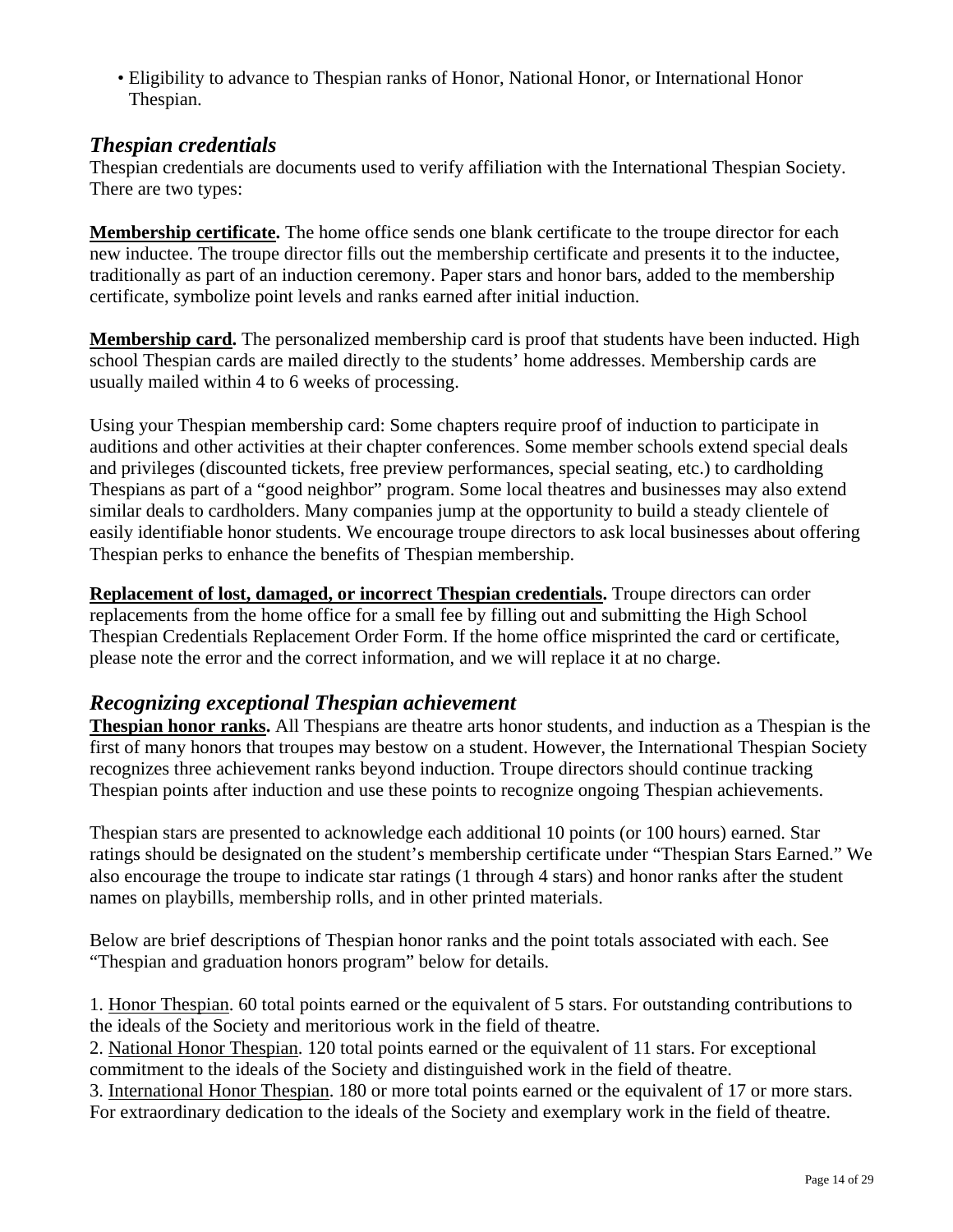<span id="page-13-0"></span>• Eligibility to advance to Thespian ranks of Honor, National Honor, or International Honor Thespian.

# *Thespian credentials*

Thespian credentials are documents used to verify affiliation with the International Thespian Society. There are two types:

**Membership certificate.** The home office sends one blank certificate to the troupe director for each new inductee. The troupe director fills out the membership certificate and presents it to the inductee, traditionally as part of an induction ceremony. Paper stars and honor bars, added to the membership certificate, symbolize point levels and ranks earned after initial induction.

**Membership card.** The personalized membership card is proof that students have been inducted. High school Thespian cards are mailed directly to the students' home addresses. Membership cards are usually mailed within 4 to 6 weeks of processing.

Using your Thespian membership card: Some chapters require proof of induction to participate in auditions and other activities at their chapter conferences. Some member schools extend special deals and privileges (discounted tickets, free preview performances, special seating, etc.) to cardholding Thespians as part of a "good neighbor" program. Some local theatres and businesses may also extend similar deals to cardholders. Many companies jump at the opportunity to build a steady clientele of easily identifiable honor students. We encourage troupe directors to ask local businesses about offering Thespian perks to enhance the benefits of Thespian membership.

**Replacement of lost, damaged, or incorrect Thespian credentials.** Troupe directors can order replacements from the home office for a small fee by filling out and submitting the High School Thespian Credentials Replacement Order Form. If the home office misprinted the card or certificate, please note the error and the correct information, and we will replace it at no charge.

# *Recognizing exceptional Thespian achievement*

**Thespian honor ranks.** All Thespians are theatre arts honor students, and induction as a Thespian is the first of many honors that troupes may bestow on a student. However, the International Thespian Society recognizes three achievement ranks beyond induction. Troupe directors should continue tracking Thespian points after induction and use these points to recognize ongoing Thespian achievements.

Thespian stars are presented to acknowledge each additional 10 points (or 100 hours) earned. Star ratings should be designated on the student's membership certificate under "Thespian Stars Earned." We also encourage the troupe to indicate star ratings (1 through 4 stars) and honor ranks after the student names on playbills, membership rolls, and in other printed materials.

Below are brief descriptions of Thespian honor ranks and the point totals associated with each. See ["Thespian and graduation honors program"](#page-14-0) below for details.

1. Honor Thespian. 60 total points earned or the equivalent of 5 stars. For outstanding contributions to the ideals of the Society and meritorious work in the field of theatre.

2. National Honor Thespian. 120 total points earned or the equivalent of 11 stars. For exceptional commitment to the ideals of the Society and distinguished work in the field of theatre.

3. International Honor Thespian. 180 or more total points earned or the equivalent of 17 or more stars. For extraordinary dedication to the ideals of the Society and exemplary work in the field of theatre.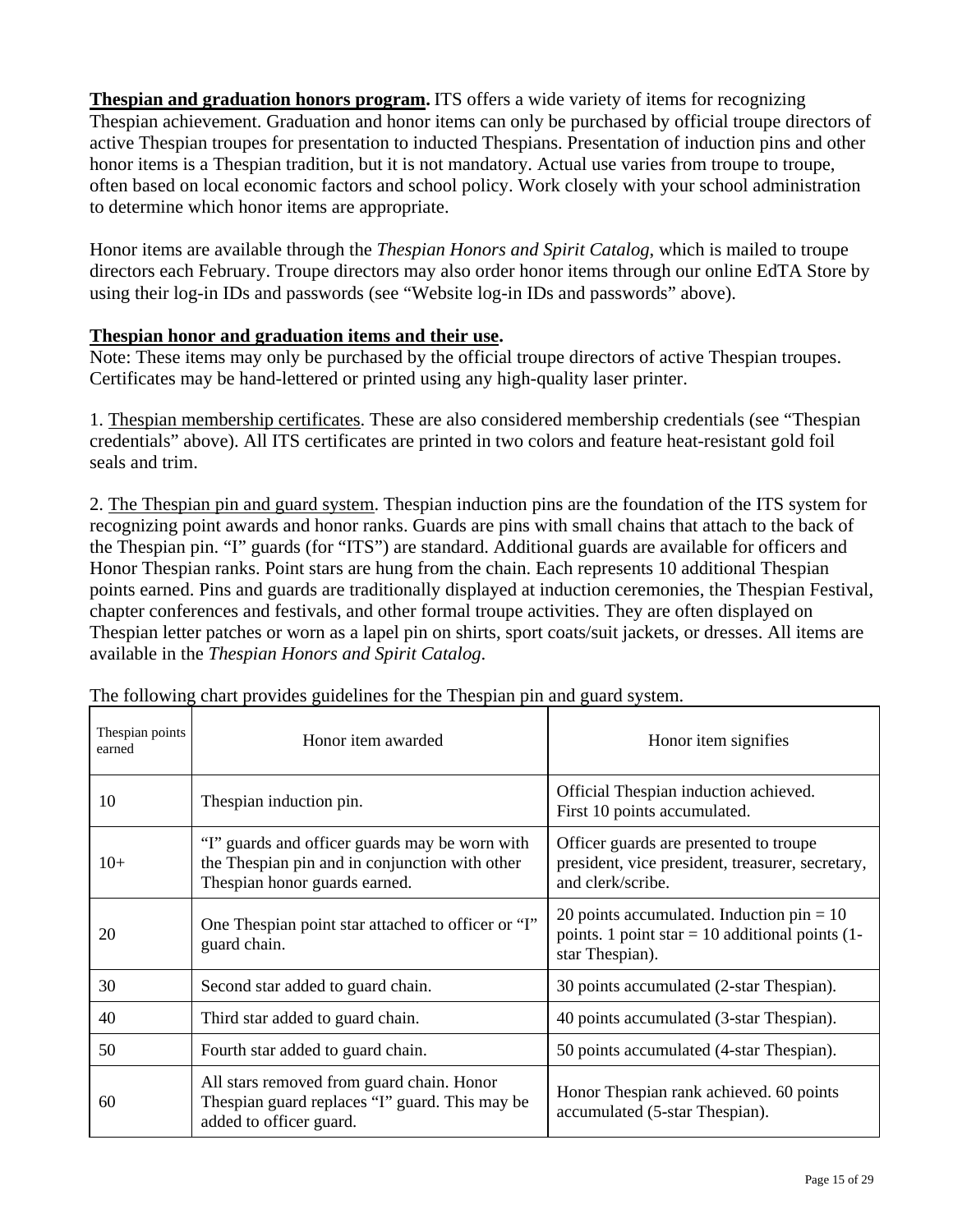<span id="page-14-0"></span>**Thespian and graduation honors program.** ITS offers a wide variety of items for recognizing Thespian achievement. Graduation and honor items can only be purchased by official troupe directors of active Thespian troupes for presentation to inducted Thespians. Presentation of induction pins and other honor items is a Thespian tradition, but it is not mandatory. Actual use varies from troupe to troupe, often based on local economic factors and school policy. Work closely with your school administration to determine which honor items are appropriate.

Honor items are available through the *Thespian Honors and Spirit Catalog*, which is mailed to troupe directors each February. Troupe directors may also order honor items through our online [EdTA Store](www.edta.org/store/) by using their log-in IDs and passwords (see ["Website log-in IDs and passwords"](#page-7-0) above).

#### **Thespian honor and graduation items and their use.**

Note: These items may only be purchased by the official troupe directors of active Thespian troupes. Certificates may be hand-lettered or printed using any high-quality laser printer.

1. Thespian membership certificates. These are also considered membership credentials (see ["Thespian](#page-13-0)  [credentials"](#page-13-0) above). All ITS certificates are printed in two colors and feature heat-resistant gold foil seals and trim.

2. The Thespian pin and guard system. Thespian induction pins are the foundation of the ITS system for recognizing point awards and honor ranks. Guards are pins with small chains that attach to the back of the Thespian pin. "I" guards (for "ITS") are standard. Additional guards are available for officers and Honor Thespian ranks. Point stars are hung from the chain. Each represents 10 additional Thespian points earned. Pins and guards are traditionally displayed at induction ceremonies, the Thespian Festival, chapter conferences and festivals, and other formal troupe activities. They are often displayed on Thespian letter patches or worn as a lapel pin on shirts, sport coats/suit jackets, or dresses. All items are available in the *Thespian Honors and Spirit Catalog*.

| Thespian points<br>earned | Honor item awarded                                                                                                                | Honor item signifies                                                                                                |
|---------------------------|-----------------------------------------------------------------------------------------------------------------------------------|---------------------------------------------------------------------------------------------------------------------|
| 10                        | Thespian induction pin.                                                                                                           | Official Thespian induction achieved.<br>First 10 points accumulated.                                               |
| $10+$                     | "I" guards and officer guards may be worn with<br>the Thespian pin and in conjunction with other<br>Thespian honor guards earned. | Officer guards are presented to troupe<br>president, vice president, treasurer, secretary,<br>and clerk/scribe.     |
| 20                        | One Thespian point star attached to officer or "I"<br>guard chain.                                                                | 20 points accumulated. Induction $pin = 10$<br>points. 1 point star $= 10$ additional points (1-<br>star Thespian). |
| 30                        | Second star added to guard chain.                                                                                                 | 30 points accumulated (2-star Thespian).                                                                            |
| 40                        | Third star added to guard chain.                                                                                                  | 40 points accumulated (3-star Thespian).                                                                            |
| 50                        | Fourth star added to guard chain.                                                                                                 | 50 points accumulated (4-star Thespian).                                                                            |
| 60                        | All stars removed from guard chain. Honor<br>The spian guard replaces "I" guard. This may be<br>added to officer guard.           | Honor Thespian rank achieved. 60 points<br>accumulated (5-star Thespian).                                           |

The following chart provides guidelines for the Thespian pin and guard system.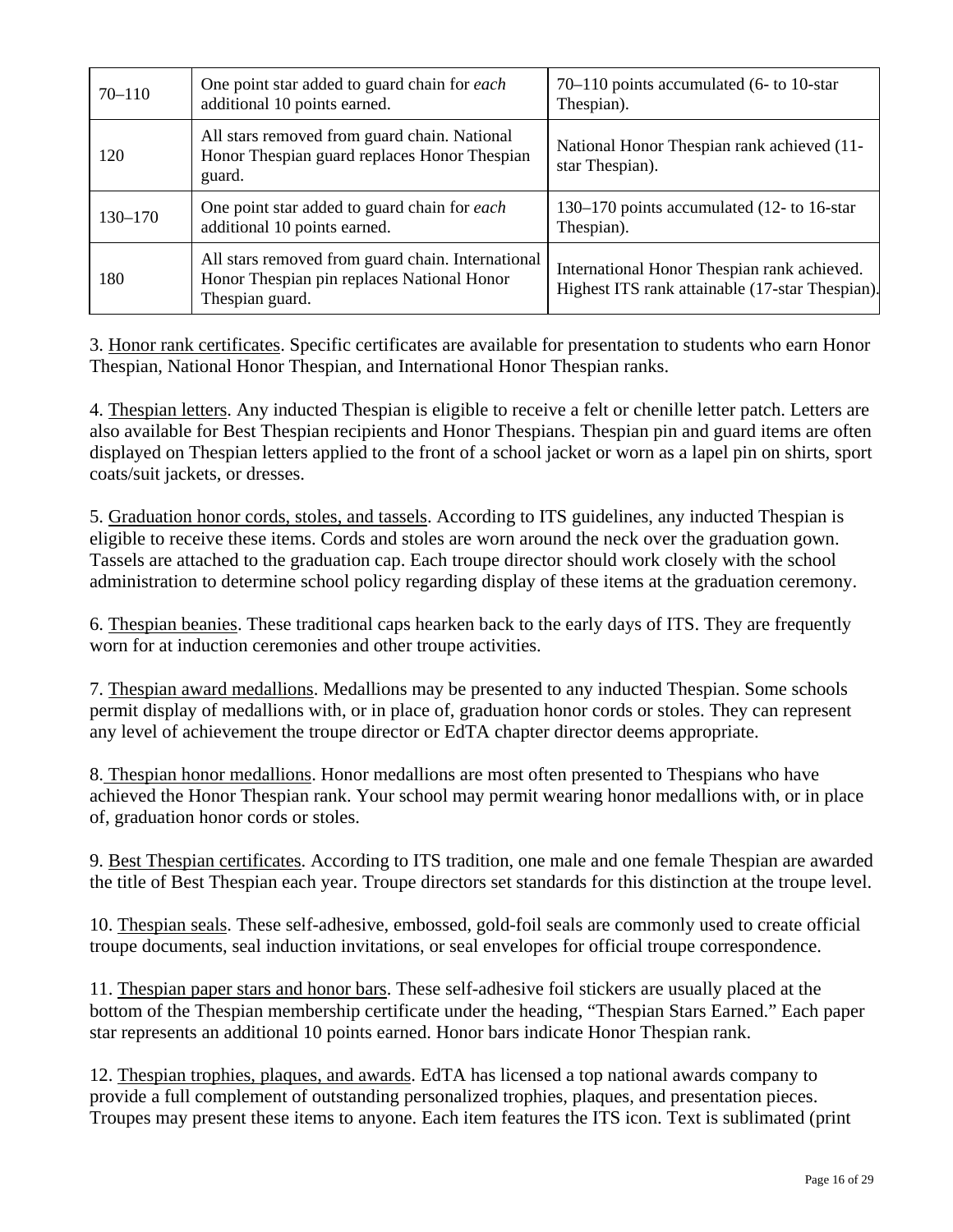| $70 - 110$  | One point star added to guard chain for each<br>additional 10 points earned.                                       | $70-110$ points accumulated (6- to 10-star)<br>Thespian).                                      |
|-------------|--------------------------------------------------------------------------------------------------------------------|------------------------------------------------------------------------------------------------|
| 120         | All stars removed from guard chain. National<br>Honor Thespian guard replaces Honor Thespian<br>guard.             | National Honor Thespian rank achieved (11-<br>star Thespian).                                  |
| $130 - 170$ | One point star added to guard chain for each<br>additional 10 points earned.                                       | 130–170 points accumulated (12- to 16-star)<br>Thespian).                                      |
| 180         | All stars removed from guard chain. International<br>Honor Thespian pin replaces National Honor<br>Thespian guard. | International Honor Thespian rank achieved.<br>Highest ITS rank attainable (17-star Thespian). |

3. Honor rank certificates. Specific certificates are available for presentation to students who earn Honor Thespian, National Honor Thespian, and International Honor Thespian ranks.

4. Thespian letters. Any inducted Thespian is eligible to receive a felt or chenille letter patch. Letters are also available for Best Thespian recipients and Honor Thespians. Thespian pin and guard items are often displayed on Thespian letters applied to the front of a school jacket or worn as a lapel pin on shirts, sport coats/suit jackets, or dresses.

5. Graduation honor cords, stoles, and tassels. According to ITS guidelines, any inducted Thespian is eligible to receive these items. Cords and stoles are worn around the neck over the graduation gown. Tassels are attached to the graduation cap. Each troupe director should work closely with the school administration to determine school policy regarding display of these items at the graduation ceremony.

6. Thespian beanies. These traditional caps hearken back to the early days of ITS. They are frequently worn for at induction ceremonies and other troupe activities.

7. Thespian award medallions. Medallions may be presented to any inducted Thespian. Some schools permit display of medallions with, or in place of, graduation honor cords or stoles. They can represent any level of achievement the troupe director or EdTA chapter director deems appropriate.

8. Thespian honor medallions. Honor medallions are most often presented to Thespians who have achieved the Honor Thespian rank. Your school may permit wearing honor medallions with, or in place of, graduation honor cords or stoles.

9. Best Thespian certificates. According to ITS tradition, one male and one female Thespian are awarded the title of Best Thespian each year. Troupe directors set standards for this distinction at the troupe level.

10. Thespian seals. These self-adhesive, embossed, gold-foil seals are commonly used to create official troupe documents, seal induction invitations, or seal envelopes for official troupe correspondence.

11. Thespian paper stars and honor bars. These self-adhesive foil stickers are usually placed at the bottom of the Thespian membership certificate under the heading, "Thespian Stars Earned." Each paper star represents an additional 10 points earned. Honor bars indicate Honor Thespian rank.

12. Thespian trophies, plaques, and awards. EdTA has licensed a top national awards company to provide a full complement of outstanding personalized trophies, plaques, and presentation pieces. Troupes may present these items to anyone. Each item features the ITS icon. Text is sublimated (print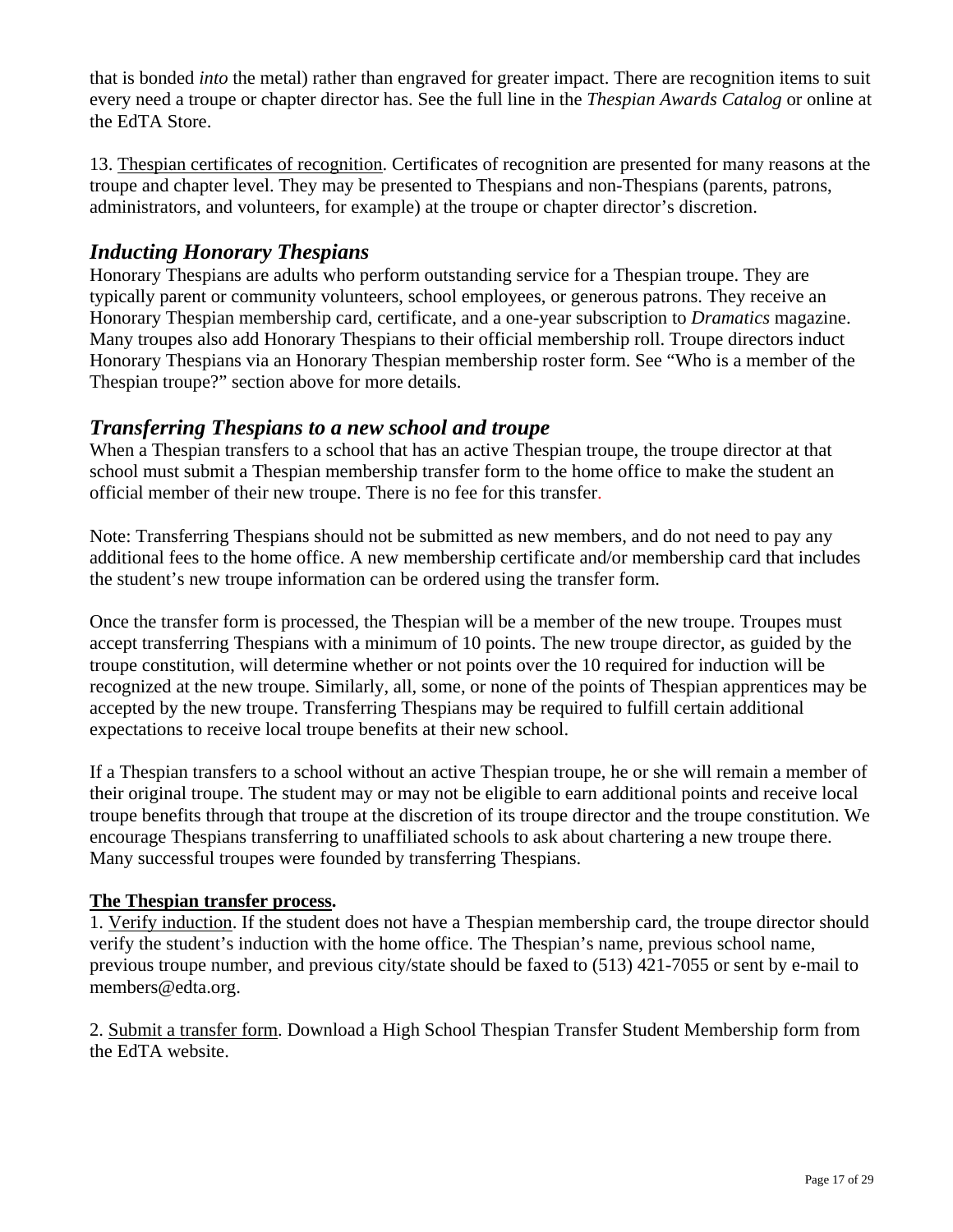<span id="page-16-0"></span>that is bonded *into* the metal) rather than engraved for greater impact. There are recognition items to suit every need a troupe or chapter director has. See the full line in the *Thespian Awards Catalog* or online at the [EdTA Store.](www.edta.org/store/)

13. Thespian certificates of recognition. Certificates of recognition are presented for many reasons at the troupe and chapter level. They may be presented to Thespians and non-Thespians (parents, patrons, administrators, and volunteers, for example) at the troupe or chapter director's discretion.

# *Inducting Honorary Thespians*

Honorary Thespians are adults who perform outstanding service for a Thespian troupe. They are typically parent or community volunteers, school employees, or generous patrons. They receive an Honorary Thespian membership card, certificate, and a one-year subscription to *Dramatics* magazine. Many troupes also add Honorary Thespians to their official membership roll. Troupe directors induct Honorary Thespians via an Honorary Thespian membership roster form. See ["Who is a member of the](#page-9-0)  [Thespian troupe?"](#page-9-0) section above for more details.

# *Transferring Thespians to a new school and troupe*

When a Thespian transfers to a school that has an active Thespian troupe, the troupe director at that school must submit a Thespian membership transfer form to the home office to make the student an official member of their new troupe. There is no fee for this transfer.

Note: Transferring Thespians should not be submitted as new members, and do not need to pay any additional fees to the home office. A new membership certificate and/or membership card that includes the student's new troupe information can be ordered using the transfer form.

Once the transfer form is processed, the Thespian will be a member of the new troupe. Troupes must accept transferring Thespians with a minimum of 10 points. The new troupe director, as guided by the troupe constitution, will determine whether or not points over the 10 required for induction will be recognized at the new troupe. Similarly, all, some, or none of the points of Thespian apprentices may be accepted by the new troupe. Transferring Thespians may be required to fulfill certain additional expectations to receive local troupe benefits at their new school.

If a Thespian transfers to a school without an active Thespian troupe, he or she will remain a member of their original troupe. The student may or may not be eligible to earn additional points and receive local troupe benefits through that troupe at the discretion of its troupe director and the troupe constitution. We encourage Thespians transferring to unaffiliated schools to ask about chartering a new troupe there. Many successful troupes were founded by transferring Thespians.

#### **The Thespian transfer process.**

1. Verify induction. If the student does not have a Thespian membership card, the troupe director should verify the student's induction with the home office. The Thespian's name, previous school name, previous troupe number, and previous city/state should be faxed to (513) 421-7055 or sent by e-mail to [members@edta.org](mailto:members@edta.org).

2. Submit a transfer form. Download a High School Thespian Transfer Student Membership form from the [EdTA website.](www.edta.org/membership/documents.aspx)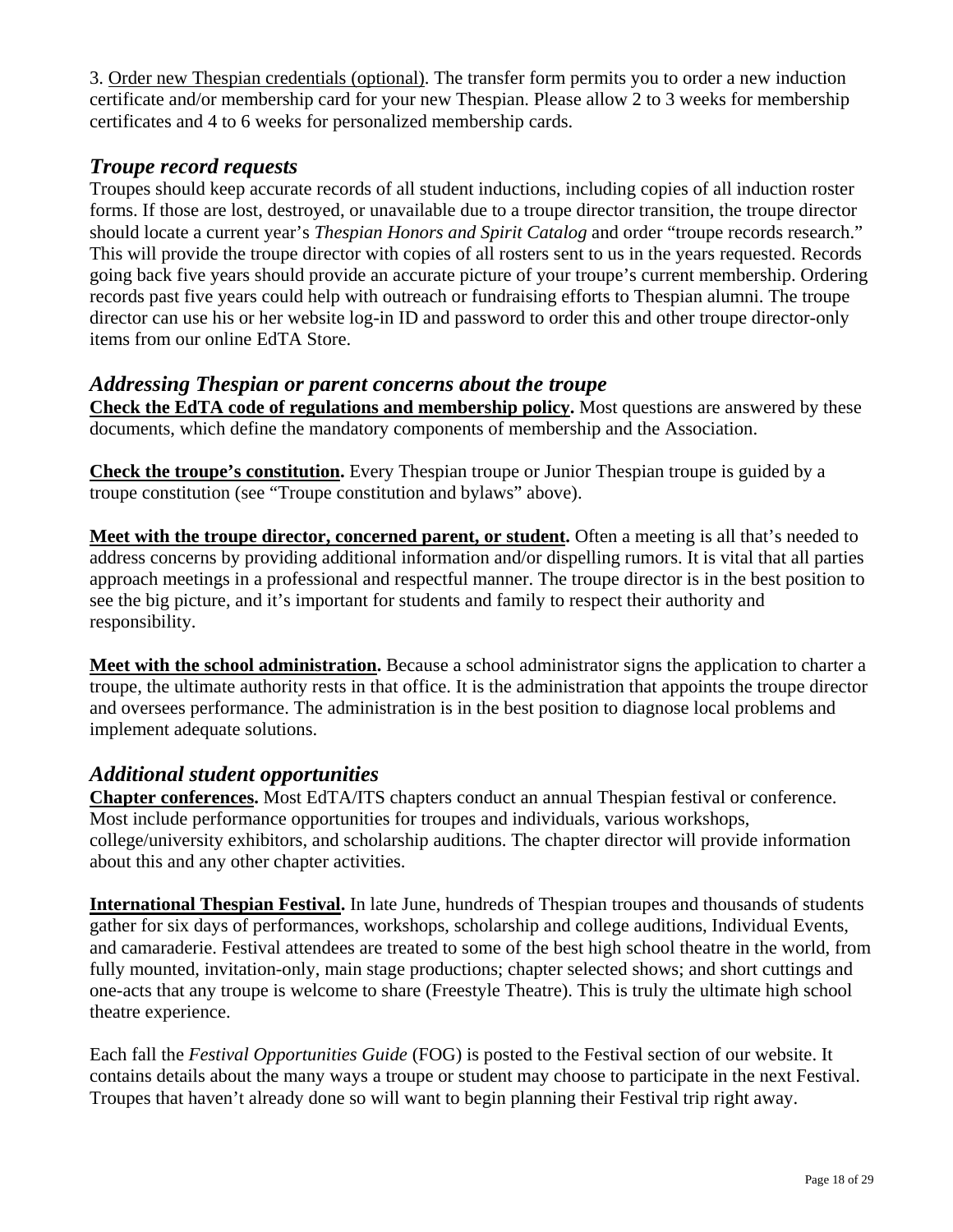<span id="page-17-0"></span>3. Order new Thespian credentials (optional). The transfer form permits you to order a new induction certificate and/or membership card for your new Thespian. Please allow 2 to 3 weeks for membership certificates and 4 to 6 weeks for personalized membership cards.

# *Troupe record requests*

Troupes should keep accurate records of all student inductions, including copies of all induction roster forms. If those are lost, destroyed, or unavailable due to a troupe director transition, the troupe director should locate a current year's *Thespian Honors and Spirit Catalog* and order "troupe records research." This will provide the troupe director with copies of all rosters sent to us in the years requested. Records going back five years should provide an accurate picture of your troupe's current membership. Ordering records past five years could help with outreach or fundraising efforts to Thespian alumni. The troupe director can use his or her website log-in ID and password to order this and other troupe director-only items from our online [EdTA Store.](www.edta.org/store/)

# *Addressing Thespian or parent concerns about the troupe*

**Check the EdTA code of regulations and membership policy.** Most questions are answered by these documents, which define the mandatory components of membership and the Association.

**Check the troupe's constitution.** Every Thespian troupe or Junior Thespian troupe is guided by a troupe constitution (see ["Troupe constitution and bylaws"](#page-8-0) above).

**Meet with the troupe director, concerned parent, or student.** Often a meeting is all that's needed to address concerns by providing additional information and/or dispelling rumors. It is vital that all parties approach meetings in a professional and respectful manner. The troupe director is in the best position to see the big picture, and it's important for students and family to respect their authority and responsibility.

**Meet with the school administration.** Because a school administrator signs the application to charter a troupe, the ultimate authority rests in that office. It is the administration that appoints the troupe director and oversees performance. The administration is in the best position to diagnose local problems and implement adequate solutions.

# *Additional student opportunities*

**Chapter conferences.** Most EdTA/ITS chapters conduct an annual Thespian festival or conference. Most include performance opportunities for troupes and individuals, various workshops, college/university exhibitors, and scholarship auditions. The chapter director will provide information about this and any other chapter activities.

**International Thespian Festival.** In late June, hundreds of Thespian troupes and thousands of students gather for six days of performances, workshops, scholarship and college auditions, Individual Events, and camaraderie. Festival attendees are treated to some of the best high school theatre in the world, from fully mounted, invitation-only, main stage productions; chapter selected shows; and short cuttings and one-acts that any troupe is welcome to share (Freestyle Theatre). This is truly the ultimate high school theatre experience.

Each fall the *Festival Opportunities Guide* (FOG) is posted to the Festival section of our website. It contains details about the many ways a troupe or student may choose to participate in the next Festival. Troupes that haven't already done so will want to begin planning their Festival trip right away.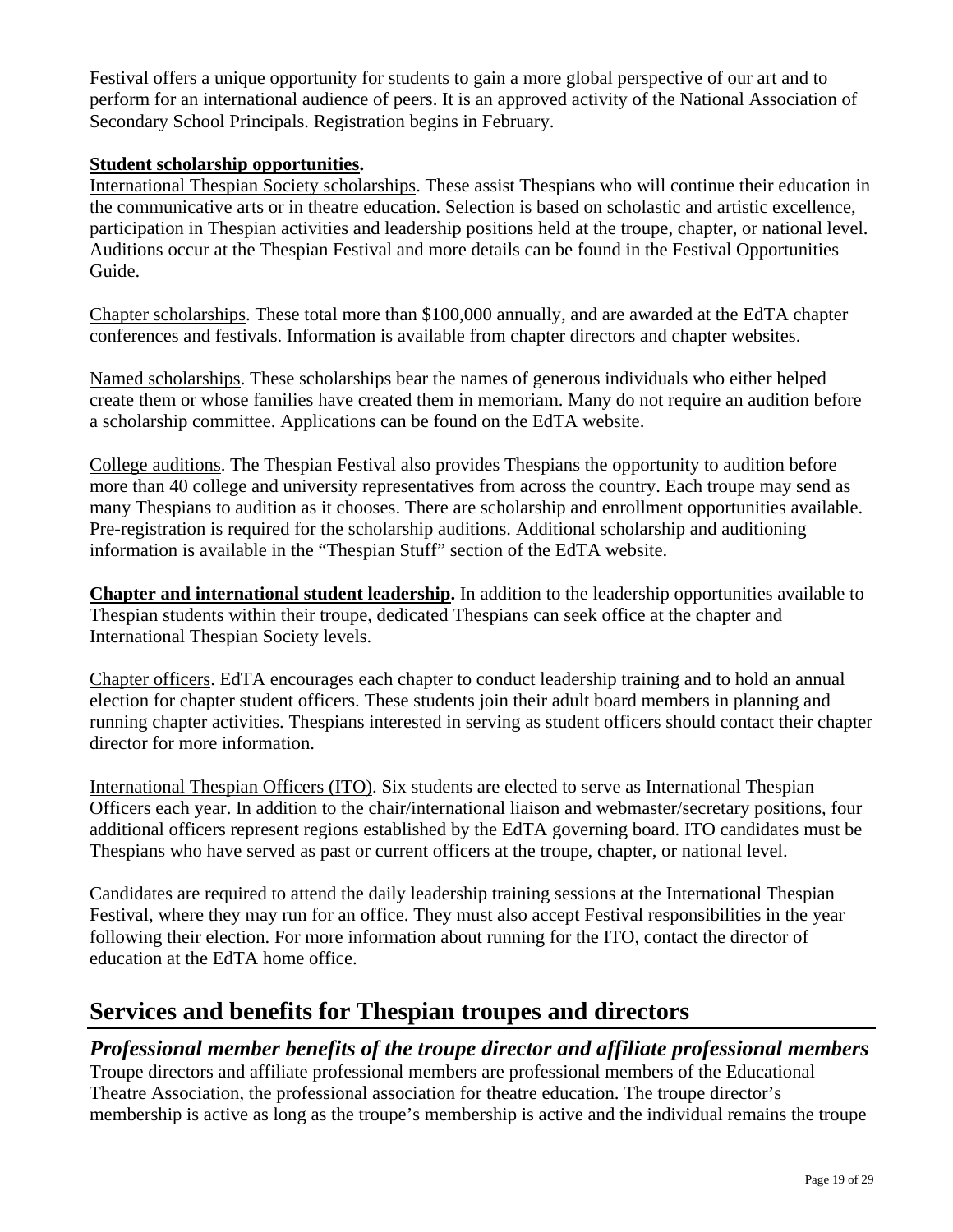<span id="page-18-0"></span>Festival offers a unique opportunity for students to gain a more global perspective of our art and to perform for an international audience of peers. It is an approved activity of the National Association of Secondary School Principals. Registration begins in February.

#### **Student scholarship opportunities.**

International Thespian Society scholarships. These assist Thespians who will continue their education in the communicative arts or in theatre education. Selection is based on scholastic and artistic excellence, participation in Thespian activities and leadership positions held at the troupe, chapter, or national level. Auditions occur at the Thespian Festival and more details can be found in the Festival Opportunities Guide.

Chapter scholarships. These total more than \$100,000 annually, and are awarded at the EdTA chapter conferences and festivals. Information is available from chapter directors and chapter websites.

Named scholarships. These scholarships bear the names of generous individuals who either helped create them or whose families have created them in memoriam. Many do not require an audition before a scholarship committee. Applications can be found on the [EdTA website.](www.edta.org/thespian_resources/college_prep/scholarships.aspx)

College auditions. The Thespian Festival also provides Thespians the opportunity to audition before more than 40 college and university representatives from across the country. Each troupe may send as many Thespians to audition as it chooses. There are scholarship and enrollment opportunities available. Pre-registration is required for the scholarship auditions. Additional scholarship and auditioning information is available in the ["Thespian Stuff"](www.edta.org/thespian_resources/) section of the EdTA website.

**Chapter and international student leadership.** In addition to the leadership opportunities available to Thespian students within their troupe, dedicated Thespians can seek office at the chapter and International Thespian Society levels.

Chapter officers. EdTA encourages each chapter to conduct leadership training and to hold an annual election for chapter student officers. These students join their adult board members in planning and running chapter activities. Thespians interested in serving as student officers should contact their chapter director for more information.

International Thespian Officers (ITO). Six students are elected to serve as International Thespian Officers each year. In addition to the chair/international liaison and webmaster/secretary positions, four additional officers represent regions established by the EdTA governing board. ITO candidates must be Thespians who have served as past or current officers at the troupe, chapter, or national level.

Candidates are required to attend the daily leadership training sessions at the International Thespian Festival, where they may run for an office. They must also accept Festival responsibilities in the year following their election. For more information about running for the ITO, contact the [director of](mailto:nbrown@edta.org)  [education a](mailto:nbrown@edta.org)t the EdTA home office.

# **Services and benefits for Thespian troupes and directors**

# *Professional member benefits of the troupe director and affiliate professional members*

Troupe directors and affiliate professional members are professional members of the Educational Theatre Association, the professional association for theatre education. The troupe director's membership is active as long as the troupe's membership is active and the individual remains the troupe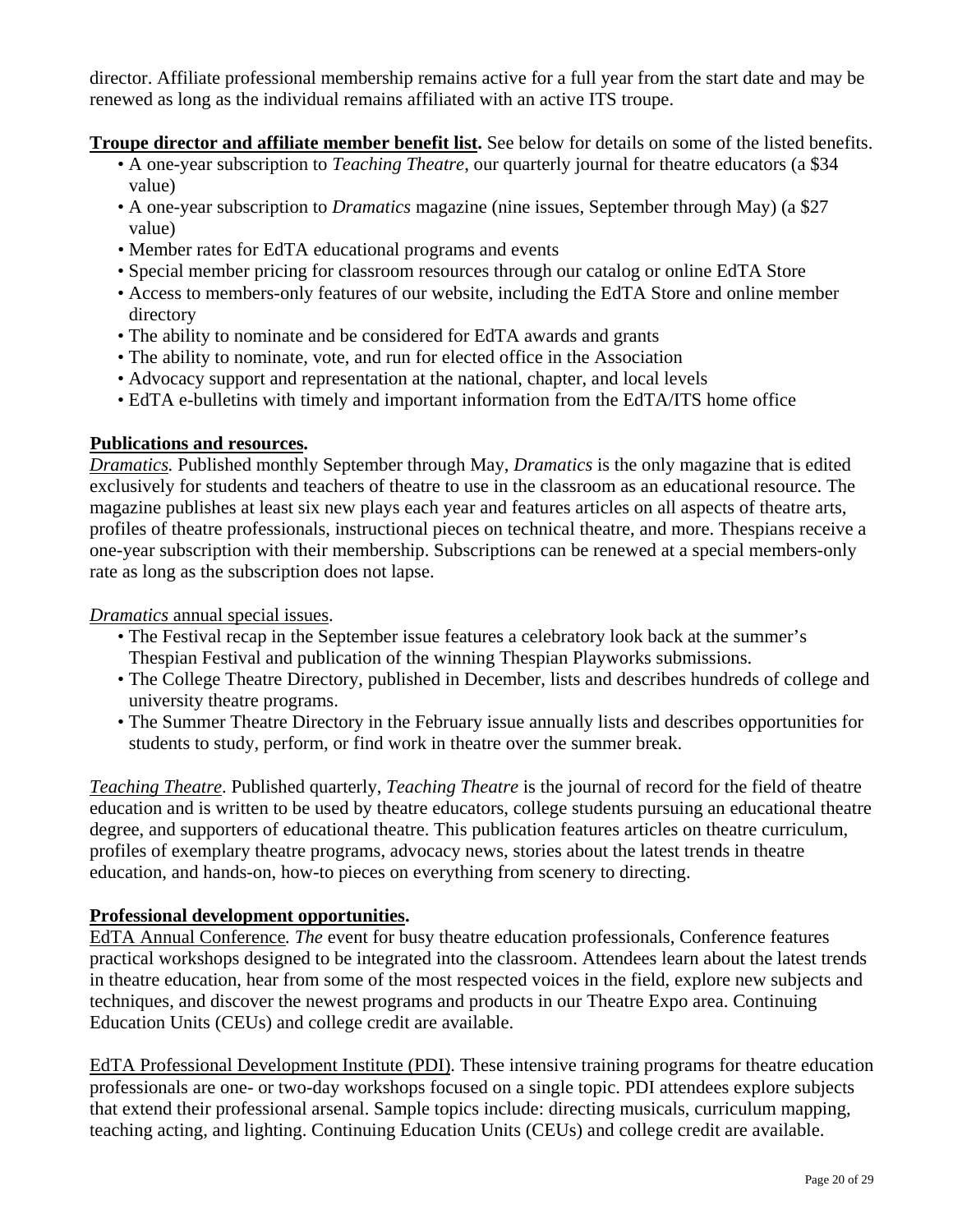<span id="page-19-0"></span>director. Affiliate professional membership remains active for a full year from the start date and may be renewed as long as the individual remains affiliated with an active ITS troupe.

**Troupe director and affiliate member benefit list.** See below for details on some of the listed benefits.

- A one-year subscription to *Teaching Theatre*, our quarterly journal for theatre educators (a \$34 value)
- A one-year subscription to *Dramatics* magazine (nine issues, September through May) (a \$27 value)
- Member rates for EdTA educational programs and events
- Special member pricing for classroom resources through our catalog or online EdTA Store
- Access to members-only features of our website, including the EdTA Store and online member directory
- The ability to nominate and be considered for EdTA awards and grants
- The ability to nominate, vote, and run for elected office in the Association
- Advocacy support and representation at the national, chapter, and local levels
- EdTA e-bulletins with timely and important information from the EdTA/ITS home office

#### **Publications and resources.**

*Dramatics.* Published monthly September through May, *Dramatics* is the only magazine that is edited exclusively for students and teachers of theatre to use in the classroom as an educational resource. The magazine publishes at least six new plays each year and features articles on all aspects of theatre arts, profiles of theatre professionals, instructional pieces on technical theatre, and more. Thespians receive a one-year subscription with their membership. Subscriptions can be renewed at a special members-only rate as long as the subscription does not lapse.

*Dramatics* annual special issues.

- The Festival recap in the September issue features a celebratory look back at the summer's Thespian Festival and publication of the winning Thespian Playworks submissions.
- The College Theatre Directory, published in December, lists and describes hundreds of college and university theatre programs.
- The Summer Theatre Directory in the February issue annually lists and describes opportunities for students to study, perform, or find work in theatre over the summer break.

*Teaching Theatre*. Published quarterly, *Teaching Theatre* is the journal of record for the field of theatre education and is written to be used by theatre educators, college students pursuing an educational theatre degree, and supporters of educational theatre. This publication features articles on theatre curriculum, profiles of exemplary theatre programs, advocacy news, stories about the latest trends in theatre education, and hands-on, how-to pieces on everything from scenery to directing.

#### **Professional development opportunities.**

EdTA Annual Conference*. The* event for busy theatre education professionals, Conference features practical workshops designed to be integrated into the classroom. Attendees learn about the latest trends in theatre education, hear from some of the most respected voices in the field, explore new subjects and techniques, and discover the newest programs and products in our Theatre Expo area. Continuing Education Units (CEUs) and college credit are available.

EdTA Professional Development Institute (PDI). These intensive training programs for theatre education professionals are one- or two-day workshops focused on a single topic. PDI attendees explore subjects that extend their professional arsenal. Sample topics include: directing musicals, curriculum mapping, teaching acting, and lighting. Continuing Education Units (CEUs) and college credit are available.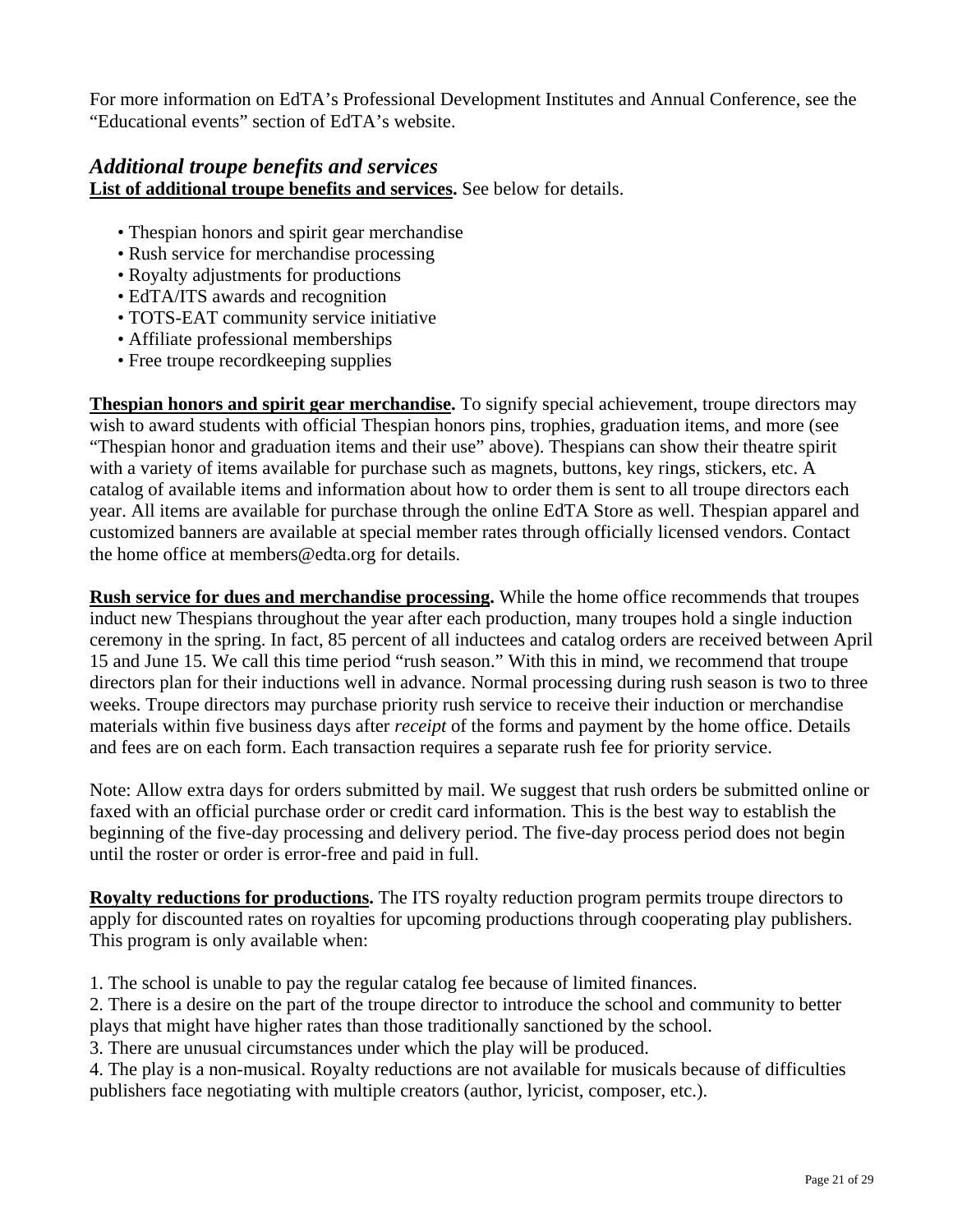<span id="page-20-0"></span>For more information on EdTA's Professional Development Institutes and Annual Conference, see the ["Educational events"](www.edta.org/educational_events/) section of EdTA's website.

# *Additional troupe benefits and services*  **List of additional troupe benefits and services.** See below for details.

- Thespian honors and spirit gear merchandise
- Rush service for merchandise processing
- Royalty adjustments for productions
- EdTA/ITS awards and recognition
- TOTS-EAT community service initiative
- Affiliate professional memberships
- Free troupe recordkeeping supplies

**Thespian honors and spirit gear merchandise.** To signify special achievement, troupe directors may wish to award students with official Thespian honors pins, trophies, graduation items, and more (see ["Thespian honor and graduation items and their use"](#page-14-0) above). Thespians can show their theatre spirit with a variety of items available for purchase such as magnets, buttons, key rings, stickers, etc. A catalog of available items and information about how to order them is sent to all troupe directors each year. All items are available for purchase through the online [EdTA Store](www.edta.org/store/) as well. Thespian apparel and customized banners are available at special member rates through officially licensed vendors. Contact the home office at members[@edta.org](mailto:members@edta.org) for details.

**Rush service for dues and merchandise processing.** While the home office recommends that troupes induct new Thespians throughout the year after each production, many troupes hold a single induction ceremony in the spring. In fact, 85 percent of all inductees and catalog orders are received between April 15 and June 15. We call this time period "rush season." With this in mind, we recommend that troupe directors plan for their inductions well in advance. Normal processing during rush season is two to three weeks. Troupe directors may purchase priority rush service to receive their induction or merchandise materials within five business days after *receipt* of the forms and payment by the home office. Details and fees are on each form. Each transaction requires a separate rush fee for priority service.

Note: Allow extra days for orders submitted by mail. We suggest that rush orders be submitted online or faxed with an official purchase order or credit card information. This is the best way to establish the beginning of the five-day processing and delivery period. The five-day process period does not begin until the roster or order is error-free and paid in full.

**Royalty reductions for productions.** The ITS royalty reduction program permits troupe directors to apply for discounted rates on royalties for upcoming productions through cooperating play publishers. This program is only available when:

1. The school is unable to pay the regular catalog fee because of limited finances.

2. There is a desire on the part of the troupe director to introduce the school and community to better plays that might have higher rates than those traditionally sanctioned by the school.

3. There are unusual circumstances under which the play will be produced.

4. The play is a non-musical. Royalty reductions are not available for musicals because of difficulties publishers face negotiating with multiple creators (author, lyricist, composer, etc.).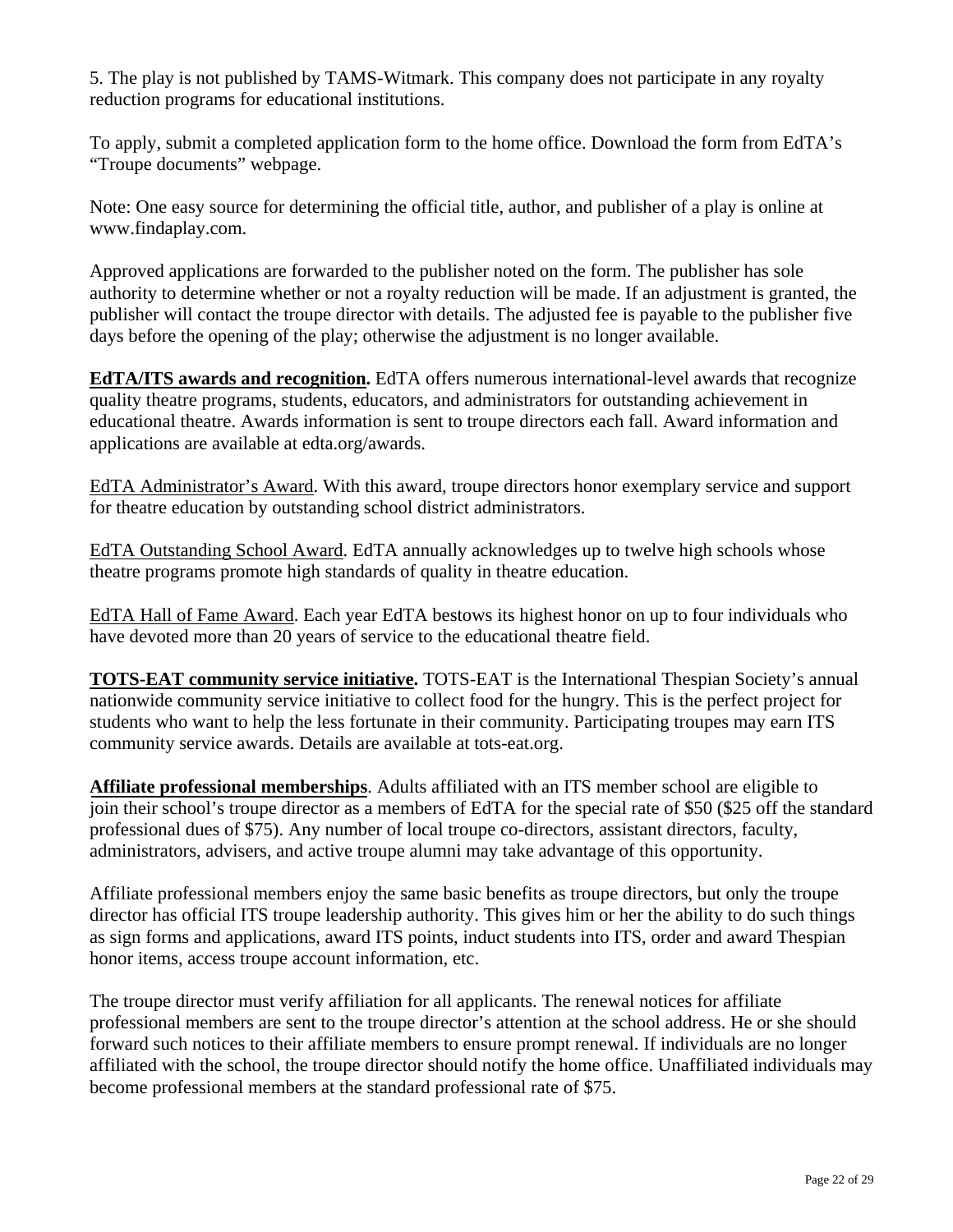5. The play is not published by TAMS-Witmark. This company does not participate in any royalty reduction programs for educational institutions.

To apply, submit a completed application form to the home office. Download the form from EdTA's ["Troupe documents" webpage.](www.edta.org/membership/documents.aspx)

Note: One easy source for determining the official title, author, and publisher of a play is online at [www.findaplay.com.](www.findaplay.com)

Approved applications are forwarded to the publisher noted on the form. The publisher has sole authority to determine whether or not a royalty reduction will be made. If an adjustment is granted, the publisher will contact the troupe director with details. The adjusted fee is payable to the publisher five days before the opening of the play; otherwise the adjustment is no longer available.

**EdTA/ITS awards and recognition.** EdTA offers numerous international-level awards that recognize quality theatre programs, students, educators, and administrators for outstanding achievement in educational theatre. Awards information is sent to troupe directors each fall. Award information and applications are available a[t edta.org/awards.](www.edta.org/membership/awards.aspx)

EdTA Administrator's Award. With this award, troupe directors honor exemplary service and support for theatre education by outstanding school district administrators.

EdTA Outstanding School Award. EdTA annually acknowledges up to twelve high schools whose theatre programs promote high standards of quality in theatre education.

EdTA Hall of Fame Award. Each year EdTA bestows its highest honor on up to four individuals who have devoted more than 20 years of service to the educational theatre field.

**TOTS-EAT community service initiative.** TOTS-EAT is the International Thespian Society's annual nationwide community service initiative to collect food for the hungry. This is the perfect project for students who want to help the less fortunate in their community. Participating troupes may earn ITS community service awards. Details are available at [tots-eat.org.](www.edta.org/thespian_resources/tots/default.aspx)

**Affiliate professional memberships**. Adults affiliated with an ITS member school are eligible to join their school's troupe director as a members of EdTA for the special rate of \$50 (\$25 off the standard professional dues of \$75). Any number of local troupe co-directors, assistant directors, faculty, administrators, advisers, and active troupe alumni may take advantage of this opportunity.

Affiliate professional members enjoy the same basic benefits as troupe directors, but only the troupe director has official ITS troupe leadership authority. This gives him or her the ability to do such things as sign forms and applications, award ITS points, induct students into ITS, order and award Thespian honor items, access troupe account information, etc.

The troupe director must verify affiliation for all applicants. The renewal notices for affiliate professional members are sent to the troupe director's attention at the school address. He or she should forward such notices to their affiliate members to ensure prompt renewal. If individuals are no longer affiliated with the school, the troupe director should notify the home office. Unaffiliated individuals may become professional members at the standard professional rate of \$75.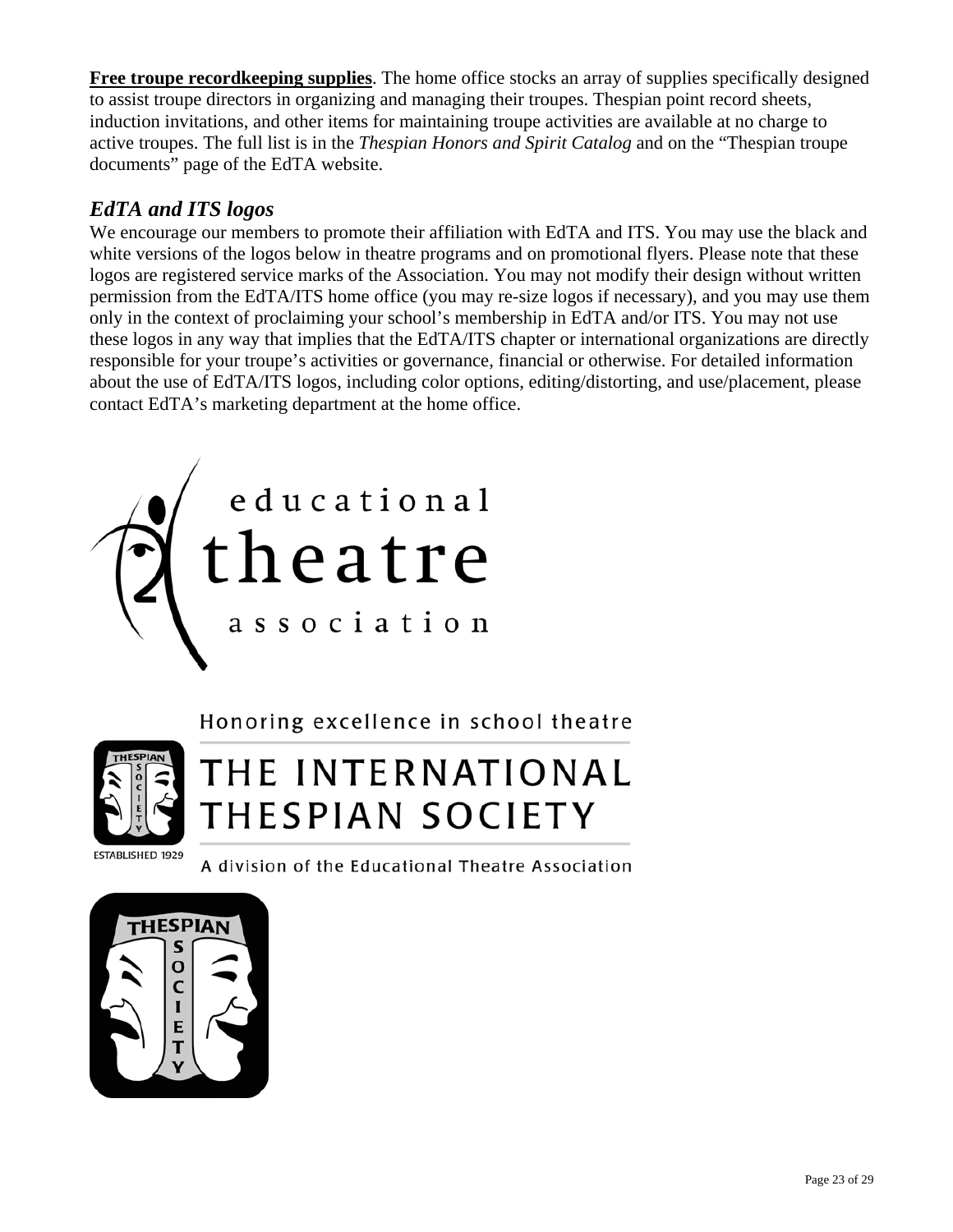<span id="page-22-0"></span>**Free troupe recordkeeping supplies**. The home office stocks an array of supplies specifically designed to assist troupe directors in organizing and managing their troupes. Thespian point record sheets, induction invitations, and other items for maintaining troupe activities are available at no charge to active troupes. The full list is in the *Thespian Honors and Spirit Catalog* and on the ["Thespian troupe](www.edta.org/membership/documents.aspx)  [documents"](www.edta.org/membership/documents.aspx) page of the EdTA website.

# *EdTA and ITS logos*

We encourage our members to promote their affiliation with EdTA and ITS. You may use the black and white versions of the logos below in theatre programs and on promotional flyers. Please note that these logos are registered service marks of the Association. You may not modify their design without written permission from the EdTA/ITS home office (you may re-size logos if necessary), and you may use them only in the context of proclaiming your school's membership in EdTA and/or ITS. You may not use these logos in any way that implies that the EdTA/ITS chapter or international organizations are directly responsible for your troupe's activities or governance, financial or otherwise. For detailed information about the use of EdTA/ITS logos, including color options, editing/distorting, and use/placement, please contact [EdTA's marketing department](mailto:chunt@edta.org) at the home office.



Honoring excellence in school theatre



# THE INTERNATIONAL THESPIAN SOCIETY

A division of the Educational Theatre Association

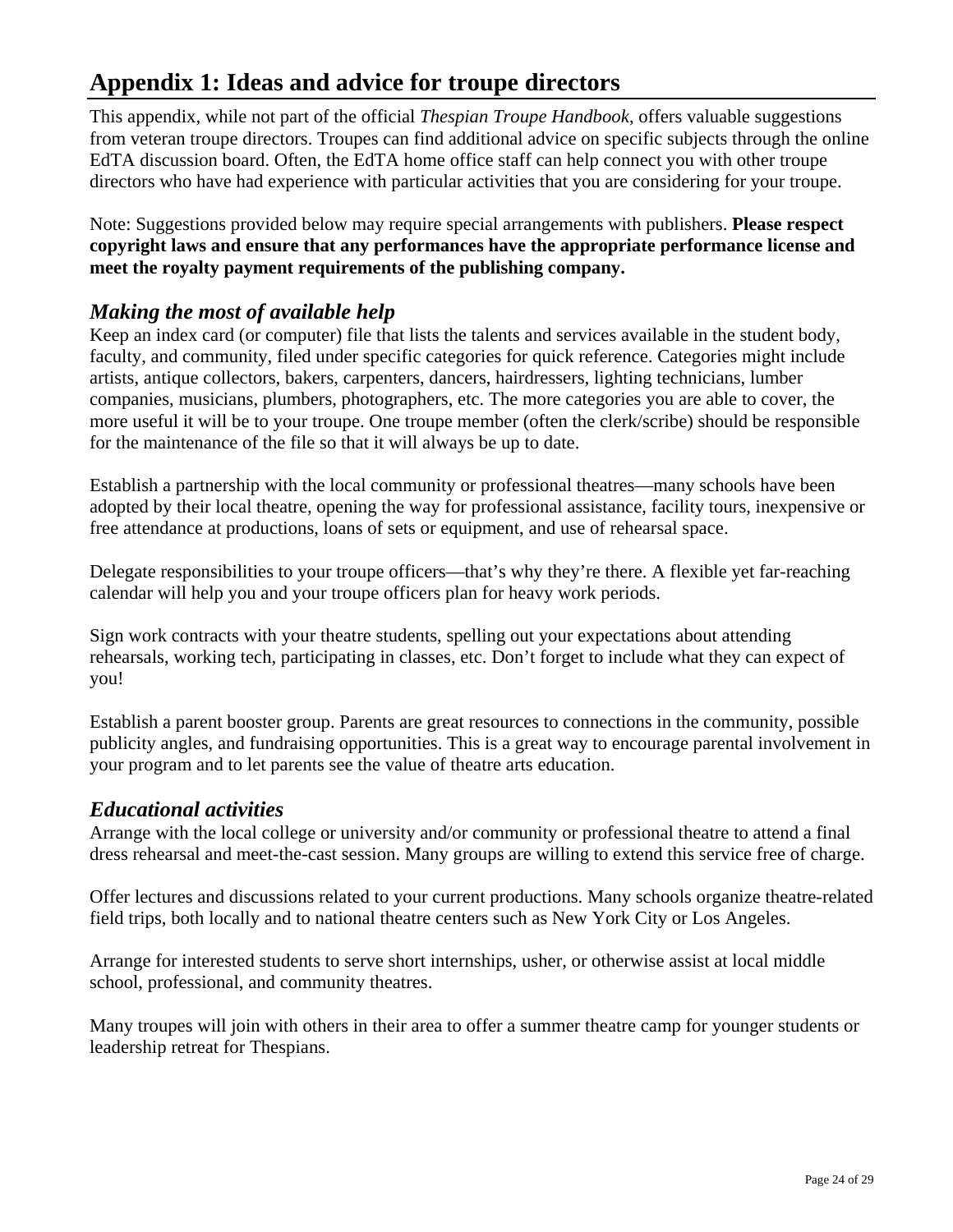# <span id="page-23-0"></span>**Appendix 1: Ideas and advice for troupe directors**

This appendix, while not part of the official *Thespian Troupe Handbook*, offers valuable suggestions from veteran troupe directors. Troupes can find additional advice on specific subjects through the [online](www.edta.org/connections/discussion.aspx) [EdTA discussion board.](www.edta.org/connections/discussion.aspx) Often, the EdTA home office staff can help connect you with other troupe directors who have had experience with particular activities that you are considering for your troupe.

Note: Suggestions provided below may require special arrangements with publishers. **Please respect copyright laws and ensure that any performances have the appropriate performance license and meet the royalty payment requirements of the publishing company.**

# *Making the most of available help*

Keep an index card (or computer) file that lists the talents and services available in the student body, faculty, and community, filed under specific categories for quick reference. Categories might include artists, antique collectors, bakers, carpenters, dancers, hairdressers, lighting technicians, lumber companies, musicians, plumbers, photographers, etc. The more categories you are able to cover, the more useful it will be to your troupe. One troupe member (often the clerk/scribe) should be responsible for the maintenance of the file so that it will always be up to date.

Establish a partnership with the local community or professional theatres—many schools have been adopted by their local theatre, opening the way for professional assistance, facility tours, inexpensive or free attendance at productions, loans of sets or equipment, and use of rehearsal space.

Delegate responsibilities to your troupe officers—that's why they're there. A flexible yet far-reaching calendar will help you and your troupe officers plan for heavy work periods.

Sign work contracts with your theatre students, spelling out your expectations about attending rehearsals, working tech, participating in classes, etc. Don't forget to include what they can expect of you!

Establish a parent booster group. Parents are great resources to connections in the community, possible publicity angles, and fundraising opportunities. This is a great way to encourage parental involvement in your program and to let parents see the value of theatre arts education.

# *Educational activities*

Arrange with the local college or university and/or community or professional theatre to attend a final dress rehearsal and meet-the-cast session. Many groups are willing to extend this service free of charge.

Offer lectures and discussions related to your current productions. Many schools organize theatre-related field trips, both locally and to national theatre centers such as New York City or Los Angeles.

Arrange for interested students to serve short internships, usher, or otherwise assist at local middle school, professional, and community theatres.

Many troupes will join with others in their area to offer a summer theatre camp for younger students or leadership retreat for Thespians.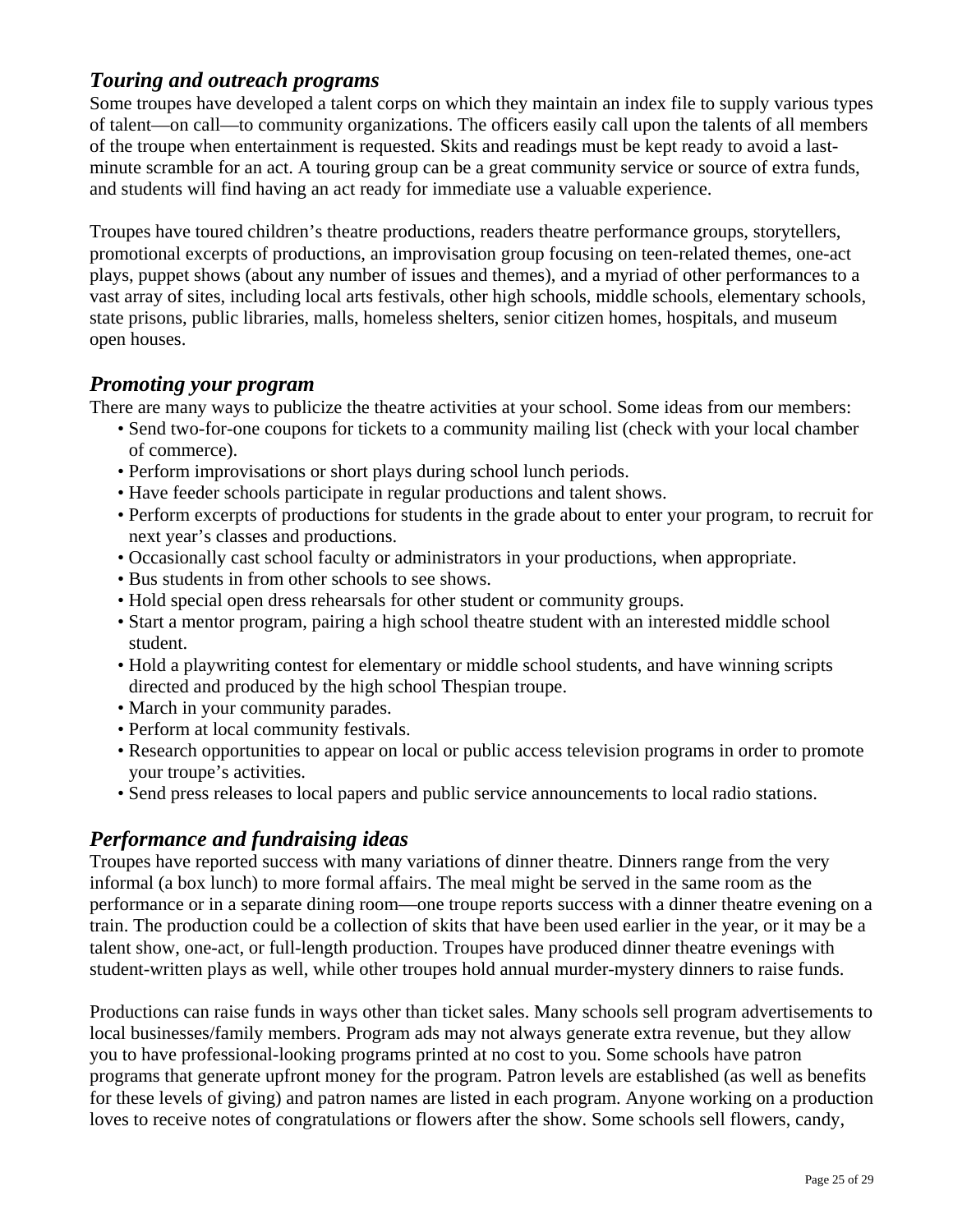# <span id="page-24-0"></span>*Touring and outreach programs*

Some troupes have developed a talent corps on which they maintain an index file to supply various types of talent—on call—to community organizations. The officers easily call upon the talents of all members of the troupe when entertainment is requested. Skits and readings must be kept ready to avoid a lastminute scramble for an act. A touring group can be a great community service or source of extra funds, and students will find having an act ready for immediate use a valuable experience.

Troupes have toured children's theatre productions, readers theatre performance groups, storytellers, promotional excerpts of productions, an improvisation group focusing on teen-related themes, one-act plays, puppet shows (about any number of issues and themes), and a myriad of other performances to a vast array of sites, including local arts festivals, other high schools, middle schools, elementary schools, state prisons, public libraries, malls, homeless shelters, senior citizen homes, hospitals, and museum open houses.

#### *Promoting your program*

There are many ways to publicize the theatre activities at your school. Some ideas from our members:

- Send two-for-one coupons for tickets to a community mailing list (check with your local chamber of commerce).
- Perform improvisations or short plays during school lunch periods.
- Have feeder schools participate in regular productions and talent shows.
- Perform excerpts of productions for students in the grade about to enter your program, to recruit for next year's classes and productions.
- Occasionally cast school faculty or administrators in your productions, when appropriate.
- Bus students in from other schools to see shows.
- Hold special open dress rehearsals for other student or community groups.
- Start a mentor program, pairing a high school theatre student with an interested middle school student.
- Hold a playwriting contest for elementary or middle school students, and have winning scripts directed and produced by the high school Thespian troupe.
- March in your community parades.
- Perform at local community festivals.
- Research opportunities to appear on local or public access television programs in order to promote your troupe's activities.
- Send press releases to local papers and public service announcements to local radio stations.

# *Performance and fundraising ideas*

Troupes have reported success with many variations of dinner theatre. Dinners range from the very informal (a box lunch) to more formal affairs. The meal might be served in the same room as the performance or in a separate dining room—one troupe reports success with a dinner theatre evening on a train. The production could be a collection of skits that have been used earlier in the year, or it may be a talent show, one-act, or full-length production. Troupes have produced dinner theatre evenings with student-written plays as well, while other troupes hold annual murder-mystery dinners to raise funds.

Productions can raise funds in ways other than ticket sales. Many schools sell program advertisements to local businesses/family members. Program ads may not always generate extra revenue, but they allow you to have professional-looking programs printed at no cost to you. Some schools have patron programs that generate upfront money for the program. Patron levels are established (as well as benefits for these levels of giving) and patron names are listed in each program. Anyone working on a production loves to receive notes of congratulations or flowers after the show. Some schools sell flowers, candy,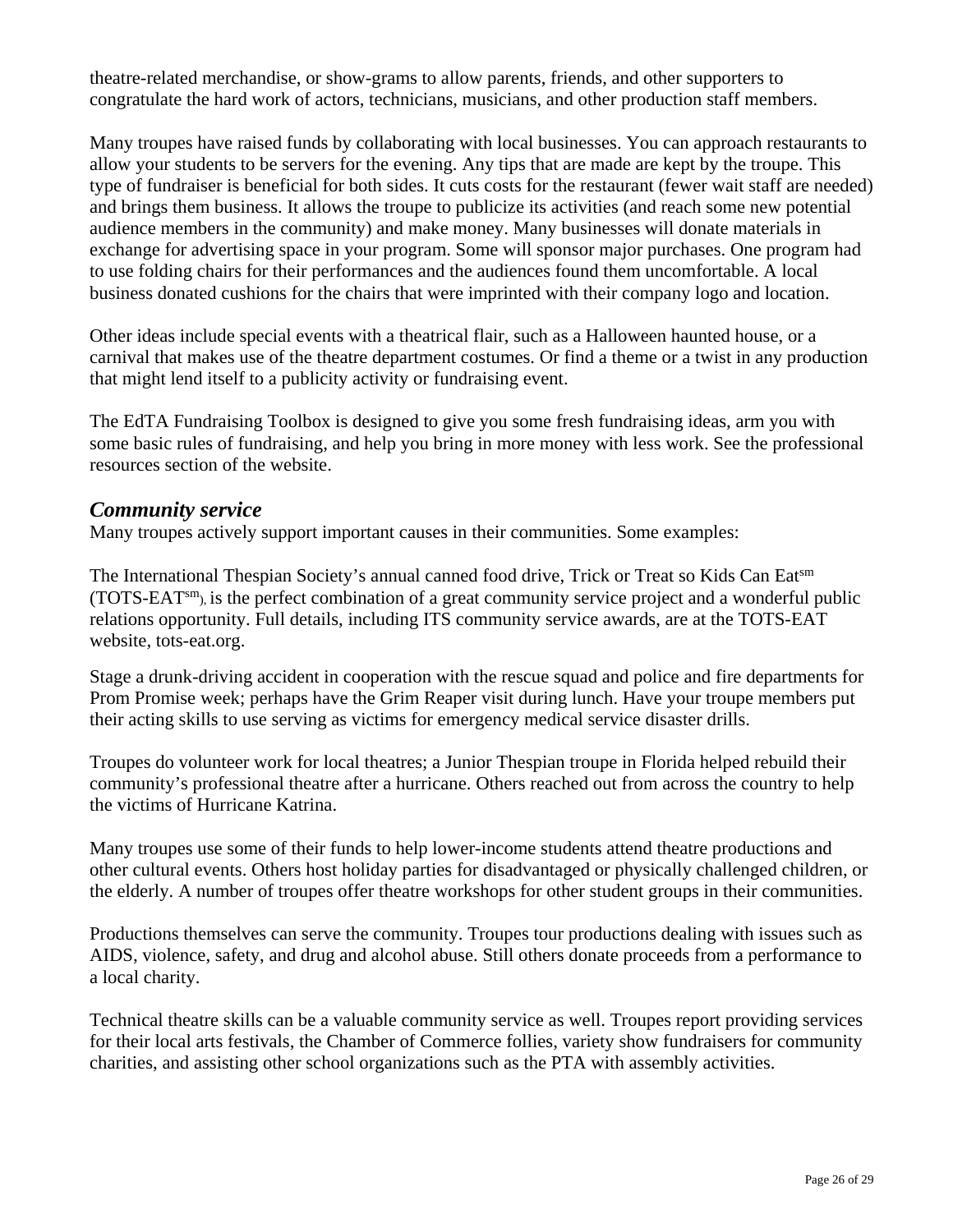<span id="page-25-0"></span>theatre-related merchandise, or show-grams to allow parents, friends, and other supporters to congratulate the hard work of actors, technicians, musicians, and other production staff members.

Many troupes have raised funds by collaborating with local businesses. You can approach restaurants to allow your students to be servers for the evening. Any tips that are made are kept by the troupe. This type of fundraiser is beneficial for both sides. It cuts costs for the restaurant (fewer wait staff are needed) and brings them business. It allows the troupe to publicize its activities (and reach some new potential audience members in the community) and make money. Many businesses will donate materials in exchange for advertising space in your program. Some will sponsor major purchases. One program had to use folding chairs for their performances and the audiences found them uncomfortable. A local business donated cushions for the chairs that were imprinted with their company logo and location.

Other ideas include special events with a theatrical flair, such as a Halloween haunted house, or a carnival that makes use of the theatre department costumes. Or find a theme or a twist in any production that might lend itself to a publicity activity or fundraising event.

The [EdTA Fundraising Toolbox](www.edta.org/professional_resources/advocacy/fundraising.aspx) is designed to give you some fresh fundraising ideas, arm you with some basic rules of fundraising, and help you bring in more money with less work. See the [professional](www.edta.org/professional_resources/)  [resources section](www.edta.org/professional_resources/) of the website.

#### *Community service*

Many troupes actively support important causes in their communities. Some examples:

The International Thespian Society's annual canned food drive, Trick or Treat so Kids Can Eatsm (TOTS-EATsm), is the perfect combination of a great community service project and a wonderful public relations opportunity. Full details, including ITS community service awards, are at the TOTS-EAT website, [tots-eat.org.](www.edta.org/thespian_resources/tots/default.aspx)

Stage a drunk-driving accident in cooperation with the rescue squad and police and fire departments for Prom Promise week; perhaps have the Grim Reaper visit during lunch. Have your troupe members put their acting skills to use serving as victims for emergency medical service disaster drills.

Troupes do volunteer work for local theatres; a Junior Thespian troupe in Florida helped rebuild their community's professional theatre after a hurricane. Others reached out from across the country to help the victims of Hurricane Katrina.

Many troupes use some of their funds to help lower-income students attend theatre productions and other cultural events. Others host holiday parties for disadvantaged or physically challenged children, or the elderly. A number of troupes offer theatre workshops for other student groups in their communities.

Productions themselves can serve the community. Troupes tour productions dealing with issues such as AIDS, violence, safety, and drug and alcohol abuse. Still others donate proceeds from a performance to a local charity.

Technical theatre skills can be a valuable community service as well. Troupes report providing services for their local arts festivals, the Chamber of Commerce follies, variety show fundraisers for community charities, and assisting other school organizations such as the PTA with assembly activities.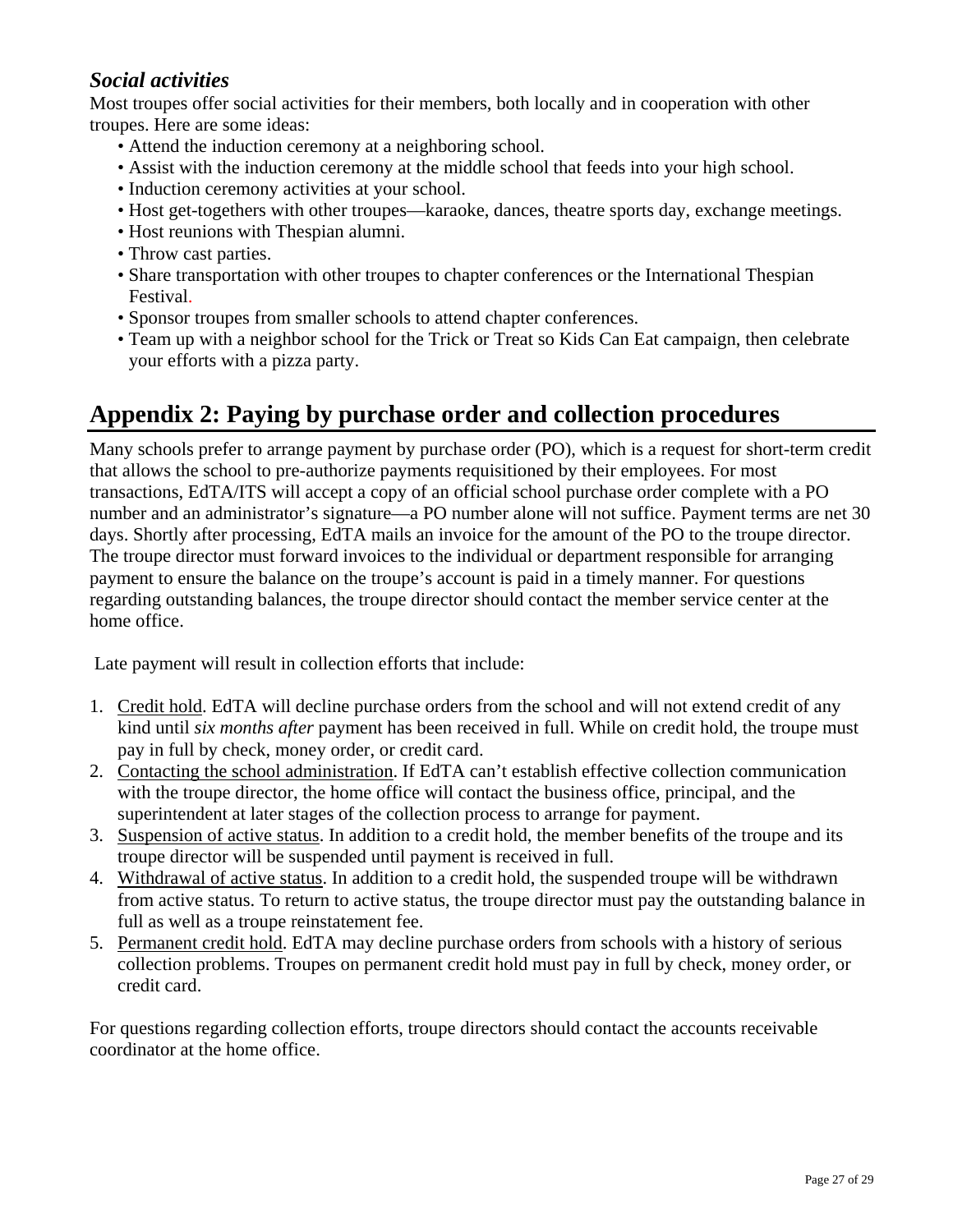# <span id="page-26-0"></span>*Social activities*

Most troupes offer social activities for their members, both locally and in cooperation with other troupes. Here are some ideas:

- Attend the induction ceremony at a neighboring school.
- Assist with the induction ceremony at the middle school that feeds into your high school.
- Induction ceremony activities at your school.
- Host get-togethers with other troupes—karaoke, dances, theatre sports day, exchange meetings.
- Host reunions with Thespian alumni.
- Throw cast parties.
- Share transportation with other troupes to chapter conferences or the International Thespian Festival.
- Sponsor troupes from smaller schools to attend chapter conferences.
- Team up with a neighbor school for the Trick or Treat so Kids Can Eat campaign, then celebrate your efforts with a pizza party.

# **Appendix 2: Paying by purchase order and collection procedures**

Many schools prefer to arrange payment by purchase order (PO), which is a request for short-term credit that allows the school to pre-authorize payments requisitioned by their employees. For most transactions, EdTA/ITS will accept a copy of an official school purchase order complete with a PO number and an administrator's signature—a PO number alone will not suffice. Payment terms are net 30 days. Shortly after processing, EdTA mails an invoice for the amount of the PO to the troupe director. The troupe director must forward invoices to the individual or department responsible for arranging payment to ensure the balance on the troupe's account is paid in a timely manner. For questions regarding outstanding balances, the troupe director should contact the [member service center](mailto:members@edta.org) at the home office.

Late payment will result in collection efforts that include:

- 1. Credit hold. EdTA will decline purchase orders from the school and will not extend credit of any kind until *six months after* payment has been received in full. While on credit hold, the troupe must pay in full by check, money order, or credit card.
- 2. Contacting the school administration. If EdTA can't establish effective collection communication with the troupe director, the home office will contact the business office, principal, and the superintendent at later stages of the collection process to arrange for payment.
- 3. Suspension of active status. In addition to a credit hold, the member benefits of the troupe and its troupe director will be suspended until payment is received in full.
- 4. Withdrawal of active status. In addition to a credit hold, the suspended troupe will be withdrawn from active status. To return to active status, the troupe director must pay the outstanding balance in full as well as a troupe reinstatement fee.
- 5. Permanent credit hold. EdTA may decline purchase orders from schools with a history of serious collection problems. Troupes on permanent credit hold must pay in full by check, money order, or credit card.

For questions regarding collection efforts, troupe directors should contact the [accounts receivable](mailto:khdavis@edta.org)  [coordinator a](mailto:khdavis@edta.org)t the home office.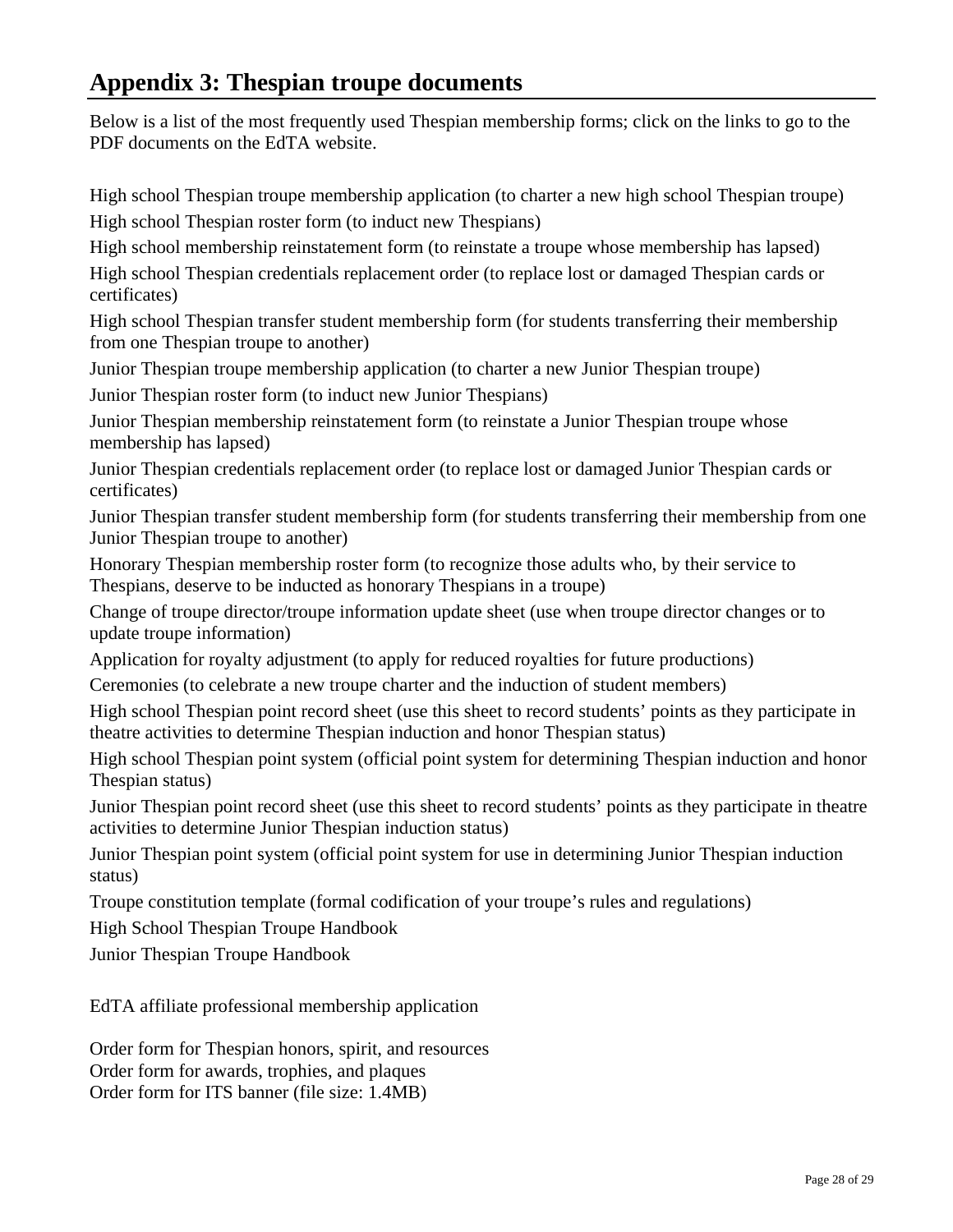# <span id="page-27-0"></span>**Appendix 3: Thespian troupe documents**

Below is a list of the most frequently used Thespian membership forms; click on the links to go to the PDF documents on the EdTA website.

[High school Thespian troupe membership application](www.edta.org/pdf_archive/hs_troupe_app633499010147343750.pdf) (to charter a new high school Thespian troupe) [High school Thespian roster form](www.edta.org/pdf_archive/hs_roster633524802124062500.pdf) (to induct new Thespians)

[High school membership reinstatement form](www.edta.org/pdf_archive/hs_reinstate633499010483750000.pdf) (to reinstate a troupe whose membership has lapsed)

[High school Thespian credentials replacement order](www.edta.org/pdf_archive/hs_cred_repl633524803123125000.pdf) (to replace lost or damaged Thespian cards or certificates)

[High school Thespian transfer student membership form](www.edta.org/pdf_archive/hs_transfer633524802687031250.pdf) (for students transferring their membership from one Thespian troupe to another)

[Junior Thespian troupe membership application](www.edta.org/pdf_archive/jr_troupe_app633499010838593750.pdf) (to charter a new Junior Thespian troupe)

[Junior Thespian roster form](www.edta.org/pdf_archive/jr_roster633524803620000000.pdf) (to induct new Junior Thespians)

[Junior Thespian membership reinstatement form](www.edta.org/pdf_archive/jr_reinstate633499011194062500.pdf) (to reinstate a Junior Thespian troupe whose membership has lapsed)

[Junior Thespian credentials replacement order](www.edta.org/pdf_archive/jr_cred_repl633524804818437500.pdf) (to replace lost or damaged Junior Thespian cards or certificates)

[Junior Thespian transfer student membership form](www.edta.org/pdf_archive/jr_transfer633524804070781250.pdf) (for students transferring their membership from one Junior Thespian troupe to another)

[Honorary Thespian membership roster form](www.edta.org/pdf_archive/honorary_roster633524805640625000.pdf) (to recognize those adults who, by their service to Thespians, deserve to be inducted as honorary Thespians in a troupe)

[Change of troupe director/troupe information update sheet](www.edta.org/pdf_archive/change_tr_dir633524806075937500.pdf) (use when troupe director changes or to update troupe information)

[Application for royalty adjustment](www.edta.org/pdf_archive/royalty182006122125.pdf) (to apply for reduced royalties for future productions)

[Ceremonies \(](www.edta.org/pdf_archive/08ceremonies633397822225781250.pdf)to celebrate a new troupe charter and the induction of student members)

[High school Thespian point record sheet](www.edta.org/pdf_archive/Thespian_point_record633229313691093750.pdf) (use this sheet to record students' points as they participate in theatre activities to determine Thespian induction and honor Thespian status)

[High school Thespian point system](www.edta.org/pdf_archive/08HS_point_sys633397819205937500.pdf) (official point system for determining Thespian induction and honor Thespian status)

[Junior Thespian point record sheet](www.edta.org/pdf_archive/Jr_Thespian_point_record633229314608750000.pdf) (use this sheet to record students' points as they participate in theatre activities to determine Junior Thespian induction status)

[Junior Thespian point system](www.edta.org/pdf_archive/08Jr_point_sys633397820192187500.pdf) (official point system for use in determining Junior Thespian induction status)

[Troupe constitution template](www.edta.org/pdf_archive/08ITS_tr_const_template633397823655937500.pdf) (formal codification of your troupe's rules and regulations)

[High School Thespian Troupe Handbook](#page-0-0)

[Junior Thespian Troupe Handbook](www.edta.org/pdf_archive/jr_handbook633398807871093750.pdf) 

[EdTA affiliate professional membership application](www.edta.org/pdf_archive/affiliate_app633579203263437500.pdf) 

[Order form for Thespian honors, spirit, and resources](www.edta.org/pdf_archive/08honors_spirit_order633385803972812500.pdf) [Order form for](www.edta.org/pdf_archive/08awards_troph_form633397978923437500.pdf) awards, trophies, and plaques [Order form for ITS banner \(](www.edta.org/pdf_archive/banner_order633246781441875000.pdf)file size: 1.4MB)